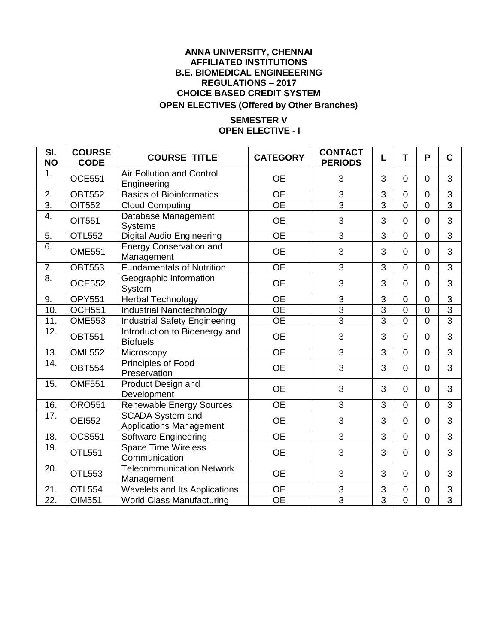## **ANNA UNIVERSITY, CHENNAI AFFILIATED INSTITUTIONS B.E. BIOMEDICAL ENGINEEERING REGULATIONS – 2017 CHOICE BASED CREDIT SYSTEM OPEN ELECTIVES (Offered by Other Branches)**

## **SEMESTER V OPEN ELECTIVE - I**

| SI.<br><b>NO</b>  | <b>COURSE</b><br><b>CODE</b> | <b>COURSE TITLE</b>                                       | <b>CATEGORY</b> | <b>CONTACT</b><br><b>PERIODS</b> | L              | T              | P              | C              |
|-------------------|------------------------------|-----------------------------------------------------------|-----------------|----------------------------------|----------------|----------------|----------------|----------------|
| 1.                | <b>OCE551</b>                | <b>Air Pollution and Control</b><br>Engineering           | <b>OE</b>       | 3                                | 3              | $\Omega$       | $\Omega$       | 3              |
| 2.                | <b>OBT552</b>                | <b>Basics of Bioinformatics</b>                           | <b>OE</b>       | $\sqrt{3}$                       | 3              | $\mathbf 0$    | $\mathbf 0$    | $\mathbf{3}$   |
| $\overline{3}$ .  | OIT552                       | <b>Cloud Computing</b>                                    | <b>OE</b>       | $\overline{3}$                   | $\overline{3}$ | $\overline{0}$ | $\overline{0}$ | $\overline{3}$ |
| $\overline{4}$ .  | OIT551                       | Database Management<br><b>Systems</b>                     | <b>OE</b>       | 3                                | 3              | $\Omega$       | $\Omega$       | 3              |
| 5.                | <b>OTL552</b>                | Digital Audio Engineering                                 | <b>OE</b>       | 3                                | 3              | $\Omega$       | $\Omega$       | $\overline{3}$ |
| 6.                | <b>OME551</b>                | <b>Energy Conservation and</b><br>Management              | <b>OE</b>       | 3                                | 3              | $\overline{0}$ | $\overline{0}$ | 3              |
| 7.                | <b>OBT553</b>                | <b>Fundamentals of Nutrition</b>                          | <b>OE</b>       | 3                                | 3              | $\Omega$       | $\overline{0}$ | 3              |
| $\overline{8}$ .  | <b>OCE552</b>                | Geographic Information<br>System                          | <b>OE</b>       | 3                                | 3              | $\Omega$       | $\mathbf 0$    | 3              |
| 9.                | <b>OPY551</b>                | <b>Herbal Technology</b>                                  | <b>OE</b>       | $\mathsf 3$                      | 3              | $\Omega$       | $\overline{0}$ | $\mathbf{3}$   |
| 10.               | <b>OCH551</b>                | Industrial Nanotechnology                                 | $\overline{OE}$ | $\overline{3}$                   | $\overline{3}$ | $\overline{0}$ | $\overline{0}$ | $\overline{3}$ |
| 11.               | <b>OME553</b>                | <b>Industrial Safety Engineering</b>                      | <b>OE</b>       | $\overline{3}$                   | $\overline{3}$ | $\overline{0}$ | $\mathbf 0$    | $\overline{3}$ |
| $\overline{12}$ . | <b>OBT551</b>                | Introduction to Bioenergy and<br><b>Biofuels</b>          | <b>OE</b>       | 3                                | 3              | $\Omega$       | $\overline{0}$ | 3              |
| 13.               | <b>OML552</b>                | Microscopy                                                | <b>OE</b>       | 3                                | 3              | $\overline{0}$ | $\overline{0}$ | $\overline{3}$ |
| $\overline{14}$ . | <b>OBT554</b>                | Principles of Food<br>Preservation                        | <b>OE</b>       | 3                                | 3              | $\overline{0}$ | $\overline{0}$ | 3              |
| 15.               | <b>OMF551</b>                | Product Design and<br>Development                         | <b>OE</b>       | 3                                | 3              | $\Omega$       | $\Omega$       | 3              |
| 16.               | <b>ORO551</b>                | <b>Renewable Energy Sources</b>                           | <b>OE</b>       | 3                                | 3              | $\overline{0}$ | $\overline{0}$ | 3              |
| 17.               | <b>OEI552</b>                | <b>SCADA System and</b><br><b>Applications Management</b> | <b>OE</b>       | 3                                | 3              | $\Omega$       | $\Omega$       | 3              |
| 18.               | <b>OCS551</b>                | Software Engineering                                      | <b>OE</b>       | $\overline{3}$                   | $\overline{3}$ | $\overline{0}$ | $\mathbf 0$    | $\overline{3}$ |
| 19.               | OTL551                       | <b>Space Time Wireless</b><br>Communication               | <b>OE</b>       | 3                                | 3              | $\Omega$       | $\overline{0}$ | 3              |
| 20.               | <b>OTL553</b>                | <b>Telecommunication Network</b><br>Management            | <b>OE</b>       | 3                                | 3              | $\overline{0}$ | $\mathbf 0$    | 3              |
| 21.               | <b>OTL554</b>                | Wavelets and Its Applications                             | <b>OE</b>       | $\ensuremath{\mathsf{3}}$        | 3              | $\overline{0}$ | $\mathbf 0$    | 3              |
| 22.               | OIM551                       | <b>World Class Manufacturing</b>                          | <b>OE</b>       | $\overline{3}$                   | $\overline{3}$ | $\mathbf 0$    | $\mathbf 0$    | $\overline{3}$ |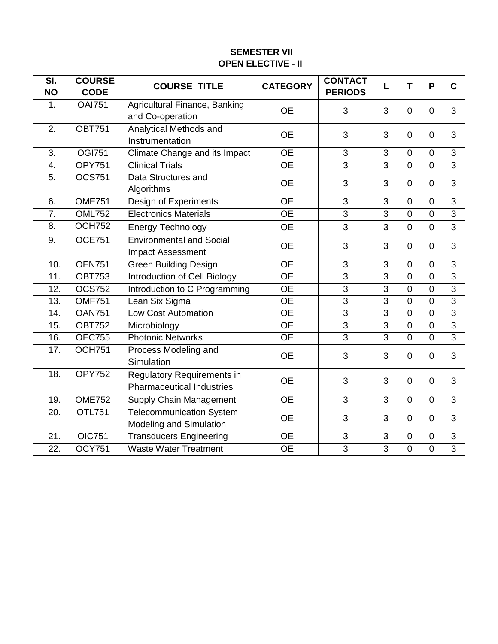## **SEMESTER VII OPEN ELECTIVE - II**

| SI.               | <b>COURSE</b> | <b>COURSE TITLE</b>                                                   | <b>CATEGORY</b> | <b>CONTACT</b> | L              | T              | P              | $\mathbf C$    |
|-------------------|---------------|-----------------------------------------------------------------------|-----------------|----------------|----------------|----------------|----------------|----------------|
| <b>NO</b>         | <b>CODE</b>   |                                                                       |                 | <b>PERIODS</b> |                |                |                |                |
| 1.                | <b>OAI751</b> | Agricultural Finance, Banking<br>and Co-operation                     | <b>OE</b>       | 3              | 3              | $\overline{0}$ | $\overline{0}$ | 3              |
| $\overline{2}$ .  | <b>OBT751</b> | Analytical Methods and<br>Instrumentation                             | <b>OE</b>       | 3              | 3              | $\overline{0}$ | $\Omega$       | 3              |
| 3.                | <b>OGI751</b> | Climate Change and its Impact                                         | $\overline{OE}$ | $\overline{3}$ | 3              | $\overline{0}$ | $\Omega$       | 3              |
| 4.                | <b>OPY751</b> | <b>Clinical Trials</b>                                                | $\overline{OE}$ | $\overline{3}$ | $\overline{3}$ | $\overline{0}$ | $\overline{0}$ | 3              |
| $\overline{5}$    | <b>OCS751</b> | Data Structures and<br>Algorithms                                     | <b>OE</b>       | 3              | 3              | $\Omega$       | $\Omega$       | 3              |
| 6.                | <b>OME751</b> | Design of Experiments                                                 | <b>OE</b>       | $\overline{3}$ | 3              | $\overline{0}$ | $\overline{0}$ | 3              |
| 7.                | <b>OML752</b> | <b>Electronics Materials</b>                                          | $\overline{OE}$ | $\overline{3}$ | $\overline{3}$ | $\overline{0}$ | $\overline{0}$ | 3              |
| 8.                | <b>OCH752</b> | <b>Energy Technology</b>                                              | <b>OE</b>       | 3              | 3              | $\overline{0}$ | $\overline{0}$ | 3              |
| 9.                | <b>OCE751</b> | <b>Environmental and Social</b><br><b>Impact Assessment</b>           | <b>OE</b>       | 3              | 3              | $\overline{0}$ | $\Omega$       | 3              |
| 10.               | <b>OEN751</b> | <b>Green Building Design</b>                                          | <b>OE</b>       | $\overline{3}$ | 3              | $\Omega$       | $\overline{0}$ | 3              |
| 11.               | <b>OBT753</b> | <b>Introduction of Cell Biology</b>                                   | $\overline{OE}$ | $\overline{3}$ | $\overline{3}$ | $\overline{0}$ | $\overline{0}$ | $\overline{3}$ |
| 12.               | <b>OCS752</b> | Introduction to C Programming                                         | <b>OE</b>       | 3              | 3              | 0              | $\overline{0}$ | 3              |
| 13.               | <b>OMF751</b> | Lean Six Sigma                                                        | $\overline{OE}$ | $\overline{3}$ | $\overline{3}$ | $\overline{0}$ | $\overline{0}$ | 3              |
| 14.               | <b>OAN751</b> | <b>Low Cost Automation</b>                                            | <b>OE</b>       | $\overline{3}$ | $\overline{3}$ | $\overline{0}$ | $\overline{0}$ | 3              |
| 15.               | <b>OBT752</b> | Microbiology                                                          | $\overline{OE}$ | $\overline{3}$ | $\overline{3}$ | $\overline{0}$ | $\mathbf 0$    | $\overline{3}$ |
| 16.               | <b>OEC755</b> | <b>Photonic Networks</b>                                              | $\overline{OE}$ | $\overline{3}$ | $\overline{3}$ | $\overline{0}$ | $\Omega$       | $\overline{3}$ |
| 17.               | <b>OCH751</b> | Process Modeling and<br>Simulation                                    | <b>OE</b>       | 3              | 3              | $\overline{0}$ | $\overline{0}$ | 3              |
| 18.               | <b>OPY752</b> | <b>Regulatory Requirements in</b><br><b>Pharmaceutical Industries</b> | <b>OE</b>       | 3              | 3              | $\overline{0}$ | $\Omega$       | 3              |
| 19.               | <b>OME752</b> | <b>Supply Chain Management</b>                                        | <b>OE</b>       | 3              | 3              | $\overline{0}$ | $\Omega$       | 3              |
| 20.               | <b>OTL751</b> | <b>Telecommunication System</b><br>Modeling and Simulation            | <b>OE</b>       | 3              | 3              | $\overline{0}$ | $\Omega$       | 3              |
| 21.               | <b>OIC751</b> | <b>Transducers Engineering</b>                                        | <b>OE</b>       | 3              | 3              | $\overline{0}$ | $\Omega$       | 3              |
| $\overline{22}$ . | <b>OCY751</b> | <b>Waste Water Treatment</b>                                          | $\overline{OE}$ | $\overline{3}$ | 3              | 0              | 0              | $\overline{3}$ |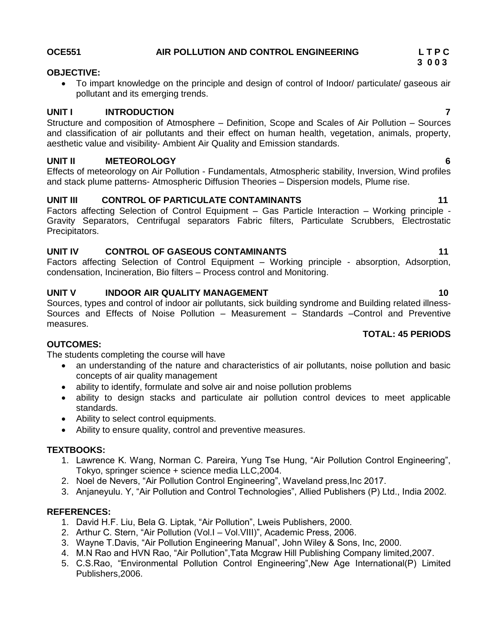## **OCE551 AIR POLLUTION AND CONTROL ENGINEERING L T P C**

## **OBJECTIVE:**

 To impart knowledge on the principle and design of control of Indoor/ particulate/ gaseous air pollutant and its emerging trends.

## **UNIT I INTRODUCTION 7**

Structure and composition of Atmosphere – Definition, Scope and Scales of Air Pollution – Sources and classification of air pollutants and their effect on human health, vegetation, animals, property, aesthetic value and visibility- Ambient Air Quality and Emission standards.

## **UNIT II METEOROLOGY 6**

Effects of meteorology on Air Pollution - Fundamentals, Atmospheric stability, Inversion, Wind profiles and stack plume patterns- Atmospheric Diffusion Theories – Dispersion models, Plume rise.

## UNIT III CONTROL OF PARTICULATE CONTAMINANTS 11

Factors affecting Selection of Control Equipment – Gas Particle Interaction – Working principle - Gravity Separators, Centrifugal separators Fabric filters, Particulate Scrubbers, Electrostatic Precipitators.

## **UNIT IV CONTROL OF GASEOUS CONTAMINANTS 11**

Factors affecting Selection of Control Equipment – Working principle - absorption, Adsorption, condensation, Incineration, Bio filters – Process control and Monitoring.

## **UNIT V INDOOR AIR QUALITY MANAGEMENT 10 10**

Sources, types and control of indoor air pollutants, sick building syndrome and Building related illness-Sources and Effects of Noise Pollution – Measurement – Standards –Control and Preventive measures.

## **TOTAL: 45 PERIODS**

## **OUTCOMES:**

The students completing the course will have

- an understanding of the nature and characteristics of air pollutants, noise pollution and basic concepts of air quality management
- ability to identify, formulate and solve air and noise pollution problems
- ability to design stacks and particulate air pollution control devices to meet applicable standards.
- Ability to select control equipments.
- Ability to ensure quality, control and preventive measures.

## **TEXTBOOKS:**

- 1. Lawrence K. Wang, Norman C. Pareira, Yung Tse Hung, "Air Pollution Control Engineering", Tokyo, springer science + science media LLC,2004.
- 2. Noel de Nevers, "Air Pollution Control Engineering", Waveland press,Inc 2017.
- 3. Anjaneyulu. Y, "Air Pollution and Control Technologies", Allied Publishers (P) Ltd., India 2002.

- 1. David H.F. Liu, Bela G. Liptak, "Air Pollution", Lweis Publishers, 2000.
- 2. Arthur C. Stern, "Air Pollution (Vol.I Vol.VIII)", Academic Press, 2006.
- 3. Wayne T.Davis, "Air Pollution Engineering Manual", John Wiley & Sons, Inc, 2000.
- 4. M.N Rao and HVN Rao, "Air Pollution",Tata Mcgraw Hill Publishing Company limited,2007.
- 5. C.S.Rao, "Environmental Pollution Control Engineering",New Age International(P) Limited Publishers,2006.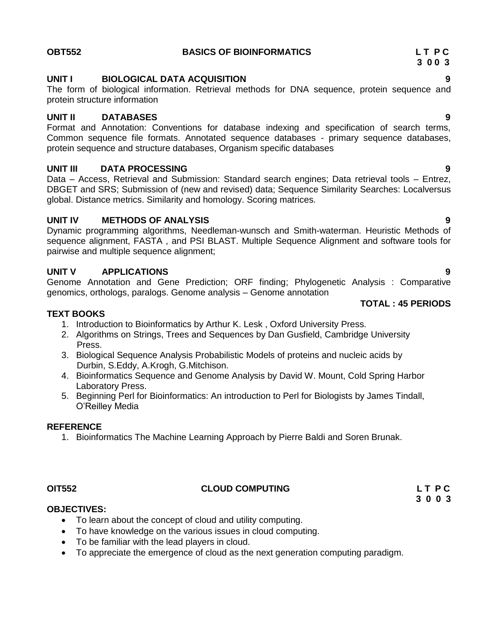## **UNIT I BIOLOGICAL DATA ACQUISITION 9**

The form of biological information. Retrieval methods for DNA sequence, protein sequence and protein structure information

## **UNIT II DATABASES 9**

Format and Annotation: Conventions for database indexing and specification of search terms, Common sequence file formats. Annotated sequence databases - primary sequence databases, protein sequence and structure databases, Organism specific databases

## **UNIT III DATA PROCESSING 9**

Data – Access, Retrieval and Submission: Standard search engines; Data retrieval tools – Entrez, DBGET and SRS; Submission of (new and revised) data; Sequence Similarity Searches: Localversus global. Distance metrics. Similarity and homology. Scoring matrices.

## **UNIT IV METHODS OF ANALYSIS 9**

Dynamic programming algorithms, Needleman-wunsch and Smith-waterman. Heuristic Methods of sequence alignment, FASTA , and PSI BLAST. Multiple Sequence Alignment and software tools for pairwise and multiple sequence alignment;

## **UNIT V APPLICATIONS 9**

Genome Annotation and Gene Prediction; ORF finding; Phylogenetic Analysis : Comparative genomics, orthologs, paralogs. Genome analysis – Genome annotation

## **TEXT BOOKS**

- 1. Introduction to Bioinformatics by Arthur K. Lesk , Oxford University Press.
- 2. Algorithms on Strings, Trees and Sequences by Dan Gusfield, Cambridge University Press.
- 3. Biological Sequence Analysis Probabilistic Models of proteins and nucleic acids by Durbin, S.Eddy, A.Krogh, G.Mitchison.
- 4. Bioinformatics Sequence and Genome Analysis by David W. Mount, Cold Spring Harbor Laboratory Press.
- 5. Beginning Perl for Bioinformatics: An introduction to Perl for Biologists by James Tindall, O"Reilley Media

## **REFERENCE**

1. Bioinformatics The Machine Learning Approach by Pierre Baldi and Soren Brunak.

## **OIT552 CLOUD COMPUTING L T P C**

**OBJECTIVES:**

- To learn about the concept of cloud and utility computing.
- To have knowledge on the various issues in cloud computing.
- To be familiar with the lead players in cloud.
- To appreciate the emergence of cloud as the next generation computing paradigm.

## **OBT552 BASICS OF BIOINFORMATICS L T P C**

**TOTAL : 45 PERIODS**

# **3 0 0 3**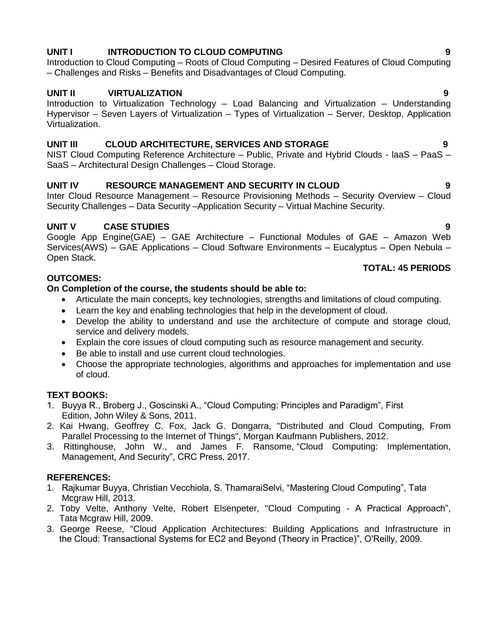## **UNIT I INTRODUCTION TO CLOUD COMPUTING 9**

Introduction to Cloud Computing – Roots of Cloud Computing – Desired Features of Cloud Computing – Challenges and Risks – Benefits and Disadvantages of Cloud Computing.

## **UNIT II VIRTUALIZATION 9**

Introduction to Virtualization Technology – Load Balancing and Virtualization – Understanding Hypervisor – Seven Layers of Virtualization – Types of Virtualization – Server, Desktop, Application Virtualization.

## **UNIT III CLOUD ARCHITECTURE, SERVICES AND STORAGE 9**

NIST Cloud Computing Reference Architecture – Public, Private and Hybrid Clouds - laaS – PaaS – SaaS – Architectural Design Challenges – Cloud Storage.

## **UNIT IV RESOURCE MANAGEMENT AND SECURITY IN CLOUD 9**

Inter Cloud Resource Management – Resource Provisioning Methods – Security Overview – Cloud Security Challenges – Data Security –Application Security – Virtual Machine Security.

## **UNIT V CASE STUDIES 9**

Google App Engine(GAE) – GAE Architecture – Functional Modules of GAE – Amazon Web Services(AWS) – GAE Applications – Cloud Software Environments – Eucalyptus – Open Nebula – Open Stack.

## **TOTAL: 45 PERIODS**

## **On Completion of the course, the students should be able to:**

- Articulate the main concepts, key technologies, strengths and limitations of cloud computing.
- Learn the key and enabling technologies that help in the development of cloud.
- Develop the ability to understand and use the architecture of compute and storage cloud, service and delivery models.
- Explain the core issues of cloud computing such as resource management and security.
- Be able to install and use current cloud technologies.
- Choose the appropriate technologies, algorithms and approaches for implementation and use of cloud.

## **TEXT BOOKS:**

**OUTCOMES:**

- 1. Buyya R., Broberg J., Goscinski A., "Cloud Computing: Principles and Paradigm", First Edition, John Wiley & Sons, 2011.
- 2. Kai Hwang, Geoffrey C. Fox, Jack G. Dongarra, "Distributed and Cloud Computing, From Parallel Processing to the Internet of Things", Morgan Kaufmann Publishers, 2012.
- 3. Rittinghouse, John W., and James F. Ransome, "Cloud Computing: Implementation, Management, And Security", CRC Press, 2017.

- 1. Rajkumar Buyya, Christian Vecchiola, S. ThamaraiSelvi, "Mastering Cloud Computing", Tata Mcgraw Hill, 2013.
- 2. Toby Velte, Anthony Velte, Robert Elsenpeter, "Cloud Computing A Practical Approach", Tata Mcgraw Hill, 2009.
- 3. George Reese, "Cloud Application Architectures: Building Applications and Infrastructure in the Cloud: Transactional Systems for EC2 and Beyond (Theory in Practice)", O'Reilly, 2009.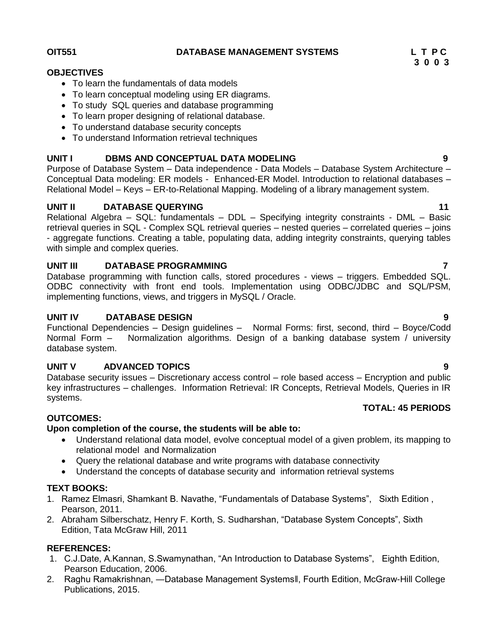**OIT551 DATABASE MANAGEMENT SYSTEMS L T P C**

## **OBJECTIVES**

- To learn the fundamentals of data models
- To learn conceptual modeling using ER diagrams.
- To study SQL queries and database programming
- To learn proper designing of relational database.
- To understand database security concepts
- To understand Information retrieval techniques

## **UNIT I DBMS AND CONCEPTUAL DATA MODELING 9**

Purpose of Database System – Data independence - Data Models – Database System Architecture – Conceptual Data modeling: ER models - Enhanced-ER Model. Introduction to relational databases – Relational Model – Keys – ER-to-Relational Mapping. Modeling of a library management system.

## **UNIT II DATABASE QUERYING 11**

Relational Algebra – SQL: fundamentals – DDL – Specifying integrity constraints - DML – Basic retrieval queries in SQL - Complex SQL retrieval queries – nested queries – correlated queries – joins - aggregate functions. Creating a table, populating data, adding integrity constraints, querying tables with simple and complex queries.

## **UNIT III DATABASE PROGRAMMING 7**

Database programming with function calls, stored procedures - views – triggers. Embedded SQL. ODBC connectivity with front end tools. Implementation using ODBC/JDBC and SQL/PSM, implementing functions, views, and triggers in MySQL / Oracle.

## **UNIT IV DATABASE DESIGN 9**

Functional Dependencies – Design guidelines – Normal Forms: first, second, third – Boyce/Codd Normal Form – Normalization algorithms. Design of a banking database system / university database system.

## **UNIT V ADVANCED TOPICS 9**

Database security issues – Discretionary access control – role based access – Encryption and public key infrastructures – challenges. Information Retrieval: IR Concepts, Retrieval Models, Queries in IR systems.

## **TOTAL: 45 PERIODS**

## **OUTCOMES:**

## **Upon completion of the course, the students will be able to:**

- Understand relational data model, evolve conceptual model of a given problem, its mapping to relational model and Normalization
- Query the relational database and write programs with database connectivity
- Understand the concepts of database security and information retrieval systems

## **TEXT BOOKS:**

- 1. Ramez Elmasri, Shamkant B. Navathe, "Fundamentals of Database Systems", Sixth Edition , Pearson, 2011.
- 2. Abraham Silberschatz, Henry F. Korth, S. Sudharshan, "Database System Concepts", Sixth Edition, Tata McGraw Hill, 2011

- 1. C.J.Date, A.Kannan, S.Swamynathan, "An Introduction to Database Systems", Eighth Edition, Pearson Education, 2006.
- 2. Raghu Ramakrishnan, ―Database Management Systems‖, Fourth Edition, McGraw-Hill College Publications, 2015.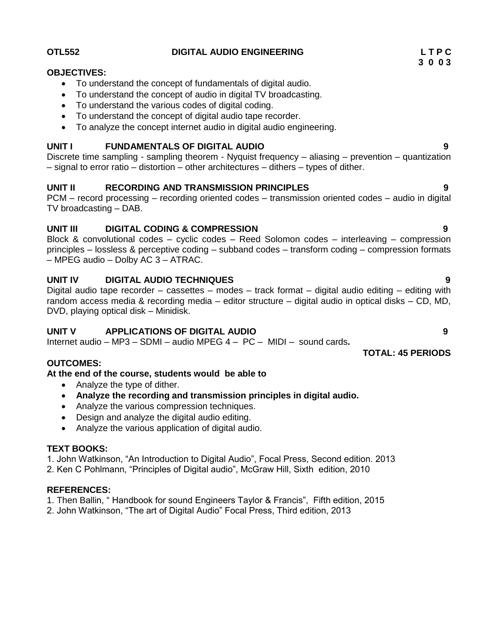## **OTL552 DIGITAL AUDIO ENGINEERING L T P C**

### **OBJECTIVES:**

- To understand the concept of fundamentals of digital audio.
- To understand the concept of audio in digital TV broadcasting.
- To understand the various codes of digital coding.
- To understand the concept of digital audio tape recorder.
- To analyze the concept internet audio in digital audio engineering.

## **UNIT I FUNDAMENTALS OF DIGITAL AUDIO 9**

Discrete time sampling - sampling theorem - Nyquist frequency – aliasing – prevention – quantization – signal to error ratio – distortion – other architectures – dithers – types of dither.

## **UNIT II RECORDING AND TRANSMISSION PRINCIPLES 9**

PCM – record processing – recording oriented codes – transmission oriented codes – audio in digital TV broadcasting – DAB.

## **UNIT III DIGITAL CODING & COMPRESSION 9**

Block & convolutional codes – cyclic codes – Reed Solomon codes – interleaving – compression principles – lossless & perceptive coding – subband codes – transform coding – compression formats – MPEG audio – Dolby AC 3 – ATRAC.

## **UNIT IV DIGITAL AUDIO TECHNIQUES 9**

Digital audio tape recorder – cassettes – modes – track format – digital audio editing – editing with random access media & recording media – editor structure – digital audio in optical disks – CD, MD, DVD, playing optical disk – Minidisk.

## **UNIT V APPLICATIONS OF DIGITAL AUDIO 9**

Internet audio – MP3 – SDMI – audio MPEG 4 – PC – MIDI – sound cards**.**

## **OUTCOMES:**

## **At the end of the course, students would be able to**

- Analyze the type of dither.
- **Analyze the recording and transmission principles in digital audio.**
- Analyze the various compression techniques.
- Design and analyze the digital audio editing.
- Analyze the various application of digital audio.

## **TEXT BOOKS:**

1. John Watkinson, "An Introduction to Digital Audio", Focal Press, Second edition. 2013

2. Ken C Pohlmann, "Principles of Digital audio", McGraw Hill, Sixth edition, 2010

## **REFERENCES:**

1. Then Ballin, " Handbook for sound Engineers Taylor & Francis", Fifth edition, 2015

2. John Watkinson, "The art of Digital Audio" Focal Press, Third edition, 2013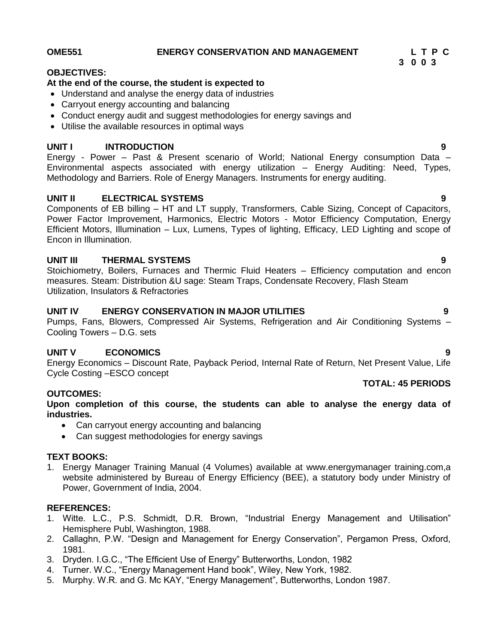# OME551 ENERGY CONSERVATION AND MANAGEMENT L T P C<br>3 0 0 3

## **OBJECTIVES:**

## **At the end of the course, the student is expected to**

- Understand and analyse the energy data of industries
- Carryout energy accounting and balancing
- Conduct energy audit and suggest methodologies for energy savings and
- Utilise the available resources in optimal ways

## **UNIT I INTRODUCTION 9**

Energy - Power – Past & Present scenario of World; National Energy consumption Data – Environmental aspects associated with energy utilization – Energy Auditing: Need, Types, Methodology and Barriers. Role of Energy Managers. Instruments for energy auditing.

## **UNIT II ELECTRICAL SYSTEMS 9**

Components of EB billing – HT and LT supply, Transformers, Cable Sizing, Concept of Capacitors, Power Factor Improvement, Harmonics, Electric Motors - Motor Efficiency Computation, Energy Efficient Motors, Illumination – Lux, Lumens, Types of lighting, Efficacy, LED Lighting and scope of Encon in Illumination.

## **UNIT III THERMAL SYSTEMS 9**

Stoichiometry, Boilers, Furnaces and Thermic Fluid Heaters – Efficiency computation and encon measures. Steam: Distribution &U sage: Steam Traps, Condensate Recovery, Flash Steam Utilization, Insulators & Refractories

## **UNIT IV ENERGY CONSERVATION IN MAJOR UTILITIES 9**

Pumps, Fans, Blowers, Compressed Air Systems, Refrigeration and Air Conditioning Systems – Cooling Towers – D.G. sets

## **UNIT V ECONOMICS 9**

Energy Economics – Discount Rate, Payback Period, Internal Rate of Return, Net Present Value, Life Cycle Costing –ESCO concept

## **OUTCOMES:**

**Upon completion of this course, the students can able to analyse the energy data of industries.**

- Can carryout energy accounting and balancing
- Can suggest methodologies for energy savings

## **TEXT BOOKS:**

1. Energy Manager Training Manual (4 Volumes) available at www.energymanager training.com,a website administered by Bureau of Energy Efficiency (BEE), a statutory body under Ministry of Power, Government of India, 2004.

## **REFERENCES:**

- 1. Witte. L.C., P.S. Schmidt, D.R. Brown, "Industrial Energy Management and Utilisation" Hemisphere Publ, Washington, 1988.
- 2. Callaghn, P.W. "Design and Management for Energy Conservation", Pergamon Press, Oxford, 1981.
- 3. Dryden. I.G.C., "The Efficient Use of Energy" Butterworths, London, 1982
- 4. Turner. W.C., "Energy Management Hand book", Wiley, New York, 1982.
- 5. Murphy. W.R. and G. Mc KAY, "Energy Management", Butterworths, London 1987.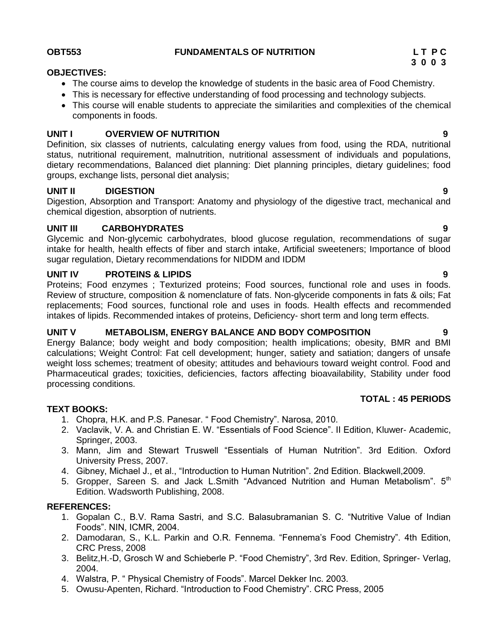## **OBT553 FUNDAMENTALS OF NUTRITION L T P C**

## **OBJECTIVES:**

- The course aims to develop the knowledge of students in the basic area of Food Chemistry.
- This is necessary for effective understanding of food processing and technology subjects.
- This course will enable students to appreciate the similarities and complexities of the chemical components in foods.

## **UNIT I OVERVIEW OF NUTRITION 9**

Definition, six classes of nutrients, calculating energy values from food, using the RDA, nutritional status, nutritional requirement, malnutrition, nutritional assessment of individuals and populations, dietary recommendations, Balanced diet planning: Diet planning principles, dietary guidelines; food groups, exchange lists, personal diet analysis;

## **UNIT II DIGESTION 9**

Digestion, Absorption and Transport: Anatomy and physiology of the digestive tract, mechanical and chemical digestion, absorption of nutrients.

## **UNIT III CARBOHYDRATES 9**

Glycemic and Non-glycemic carbohydrates, blood glucose regulation, recommendations of sugar intake for health, health effects of fiber and starch intake, Artificial sweeteners; Importance of blood sugar regulation, Dietary recommendations for NIDDM and IDDM

## **UNIT IV PROTEINS & LIPIDS 9**

Proteins; Food enzymes ; Texturized proteins; Food sources, functional role and uses in foods. Review of structure, composition & nomenclature of fats. Non-glyceride components in fats & oils; Fat replacements; Food sources, functional role and uses in foods. Health effects and recommended intakes of lipids. Recommended intakes of proteins, Deficiency- short term and long term effects.

## **UNIT V METABOLISM, ENERGY BALANCE AND BODY COMPOSITION 9**

Energy Balance; body weight and body composition; health implications; obesity, BMR and BMI calculations; Weight Control: Fat cell development; hunger, satiety and satiation; dangers of unsafe weight loss schemes; treatment of obesity; attitudes and behaviours toward weight control. Food and Pharmaceutical grades; toxicities, deficiencies, factors affecting bioavailability, Stability under food processing conditions.

## **TOTAL : 45 PERIODS**

## **TEXT BOOKS:**

- 1. Chopra, H.K. and P.S. Panesar. " Food Chemistry". Narosa, 2010.
- 2. Vaclavik, V. A. and Christian E. W. "Essentials of Food Science". II Edition, Kluwer- Academic, Springer, 2003.
- 3. Mann, Jim and Stewart Truswell "Essentials of Human Nutrition". 3rd Edition. Oxford University Press, 2007.
- 4. Gibney, Michael J., et al., "Introduction to Human Nutrition". 2nd Edition. Blackwell,2009.
- 5. Gropper, Sareen S. and Jack L.Smith "Advanced Nutrition and Human Metabolism". 5<sup>th</sup> Edition. Wadsworth Publishing, 2008.

- 1. Gopalan C., B.V. Rama Sastri, and S.C. Balasubramanian S. C. "Nutritive Value of Indian Foods". NIN, ICMR, 2004.
- 2. Damodaran, S., K.L. Parkin and O.R. Fennema. "Fennema"s Food Chemistry". 4th Edition, CRC Press, 2008
- 3. Belitz,H.-D, Grosch W and Schieberle P. "Food Chemistry", 3rd Rev. Edition, Springer- Verlag, 2004.
- 4. Walstra, P. " Physical Chemistry of Foods". Marcel Dekker Inc. 2003.
- 5. Owusu-Apenten, Richard. "Introduction to Food Chemistry". CRC Press, 2005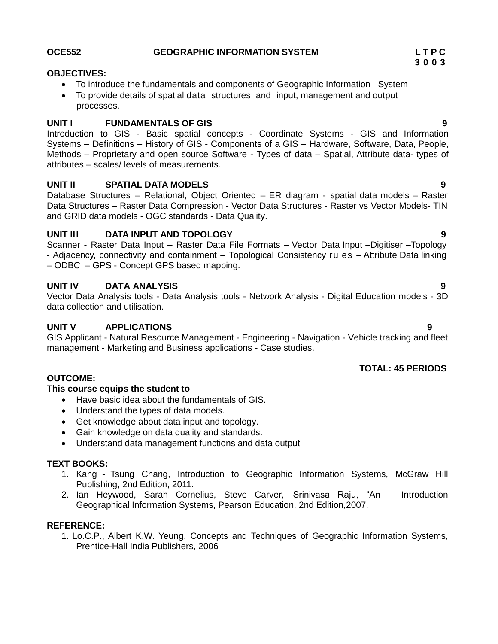## **OBJECTIVES:**

- To introduce the fundamentals and components of Geographic Information System
- To provide details of spatial data structures and input, management and output processes.

## **UNIT I FUNDAMENTALS OF GIS 9**

Introduction to GIS - Basic spatial concepts - Coordinate Systems - GIS and Information Systems – Definitions – History of GIS - Components of a GIS – Hardware, Software, Data, People, Methods – Proprietary and open source Software - Types of data – Spatial, Attribute data- types of attributes – scales/ levels of measurements.

## **UNIT II SPATIAL DATA MODELS 9**

Database Structures – Relational, Object Oriented – ER diagram - spatial data models – Raster Data Structures – Raster Data Compression - Vector Data Structures - Raster vs Vector Models- TIN and GRID data models - OGC standards - Data Quality.

## **UNIT III DATA INPUT AND TOPOLOGY 9**

Scanner - Raster Data Input – Raster Data File Formats – Vector Data Input –Digitiser –Topology - Adjacency, connectivity and containment – Topological Consistency rules – Attribute Data linking – ODBC – GPS - Concept GPS based mapping.

## **UNIT IV DATA ANALYSIS 9**

Vector Data Analysis tools - Data Analysis tools - Network Analysis - Digital Education models - 3D data collection and utilisation.

## **UNIT V APPLICATIONS 9**

GIS Applicant - Natural Resource Management - Engineering - Navigation - Vehicle tracking and fleet management - Marketing and Business applications - Case studies.

## **TOTAL: 45 PERIODS**

## **OUTCOME:**

## **This course equips the student to**

- Have basic idea about the fundamentals of GIS.
- Understand the types of data models.
- Get knowledge about data input and topology.
- Gain knowledge on data quality and standards.
- Understand data management functions and data output

## **TEXT BOOKS:**

- 1. Kang Tsung Chang, Introduction to Geographic Information Systems, McGraw Hill Publishing, 2nd Edition, 2011.
- 2. Ian Heywood, Sarah Cornelius, Steve Carver, Srinivasa Raju, "An Introduction Geographical Information Systems, Pearson Education, 2nd Edition,2007.

## **REFERENCE:**

1. Lo.C.P., Albert K.W. Yeung, Concepts and Techniques of Geographic Information Systems, Prentice-Hall India Publishers, 2006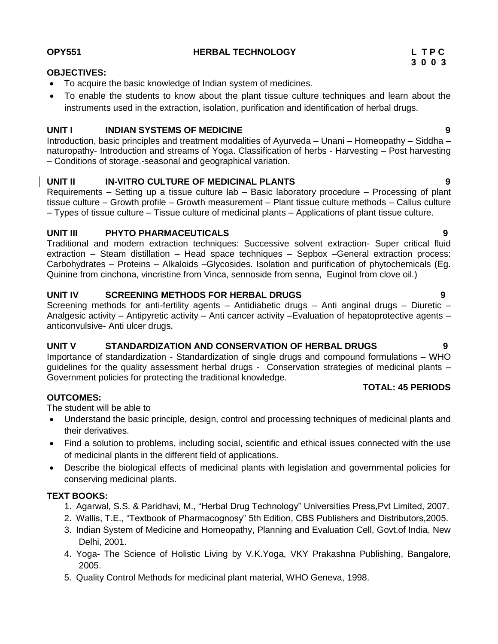## **OPY551 HERBAL TECHNOLOGY L T P C**

## **OBJECTIVES:**

- To acquire the basic knowledge of Indian system of medicines.
- To enable the students to know about the plant tissue culture techniques and learn about the instruments used in the extraction, isolation, purification and identification of herbal drugs.

## **UNIT I INDIAN SYSTEMS OF MEDICINE 9**

Introduction, basic principles and treatment modalities of Ayurveda – Unani – Homeopathy – Siddha – naturopathy- Introduction and streams of Yoga. Classification of herbs - Harvesting – Post harvesting – Conditions of storage.-seasonal and geographical variation.

## **UNIT II IN-VITRO CULTURE OF MEDICINAL PLANTS 9**

Requirements – Setting up a tissue culture lab – Basic laboratory procedure – Processing of plant tissue culture – Growth profile – Growth measurement – Plant tissue culture methods – Callus culture – Types of tissue culture – Tissue culture of medicinal plants – Applications of plant tissue culture.

## **UNIT III PHYTO PHARMACEUTICALS 9**

Traditional and modern extraction techniques: Successive solvent extraction- Super critical fluid extraction – Steam distillation – Head space techniques – Sepbox –General extraction process: Carbohydrates – Proteins – Alkaloids –Glycosides. Isolation and purification of phytochemicals (Eg. Quinine from cinchona, vincristine from Vinca, sennoside from senna, Euginol from clove oil.)

## **UNIT IV SCREENING METHODS FOR HERBAL DRUGS 9**

Screening methods for anti-fertility agents – Antidiabetic drugs – Anti anginal drugs – Diuretic – Analgesic activity – Antipyretic activity – Anti cancer activity –Evaluation of hepatoprotective agents – anticonvulsive- Anti ulcer drugs.

## **UNIT V STANDARDIZATION AND CONSERVATION OF HERBAL DRUGS 9**

Importance of standardization - Standardization of single drugs and compound formulations – WHO guidelines for the quality assessment herbal drugs - Conservation strategies of medicinal plants – Government policies for protecting the traditional knowledge.

## **OUTCOMES:**

The student will be able to

- Understand the basic principle, design, control and processing techniques of medicinal plants and their derivatives.
- Find a solution to problems, including social, scientific and ethical issues connected with the use of medicinal plants in the different field of applications.
- Describe the biological effects of medicinal plants with legislation and governmental policies for conserving medicinal plants.

## **TEXT BOOKS:**

- 1. Agarwal, S.S. & Paridhavi, M., "Herbal Drug Technology" Universities Press,Pvt Limited, 2007.
- 2. Wallis, T.E., "Textbook of Pharmacognosy" 5th Edition, CBS Publishers and Distributors,2005.
- 3. Indian System of Medicine and Homeopathy, Planning and Evaluation Cell, Govt.of India, New Delhi, 2001.
- 4. Yoga- The Science of Holistic Living by V.K.Yoga, VKY Prakashna Publishing, Bangalore, 2005.
- 5. Quality Control Methods for medicinal plant material, WHO Geneva, 1998.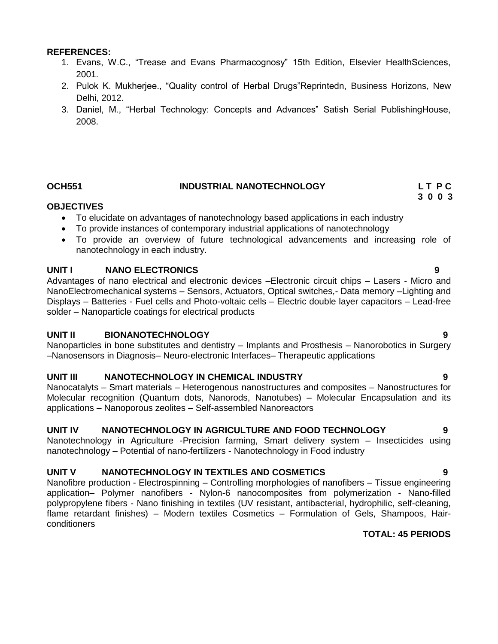### **REFERENCES:**

- 1. Evans, W.C., "Trease and Evans Pharmacognosy" 15th Edition, Elsevier HealthSciences, 2001.
- 2. Pulok K. Mukherjee., "Quality control of Herbal Drugs"Reprintedn, Business Horizons, New Delhi, 2012.
- 3. Daniel, M., "Herbal Technology: Concepts and Advances" Satish Serial PublishingHouse, 2008.

## **OCH551 INDUSTRIAL NANOTECHNOLOGY L T P C**

# **3 0 0 3**

## **OBJECTIVES**

- To elucidate on advantages of nanotechnology based applications in each industry
- To provide instances of contemporary industrial applications of nanotechnology
- To provide an overview of future technological advancements and increasing role of nanotechnology in each industry.

## **UNIT I NANO ELECTRONICS 9**

Advantages of nano electrical and electronic devices –Electronic circuit chips – Lasers - Micro and NanoElectromechanical systems – Sensors, Actuators, Optical switches,- Data memory –Lighting and Displays – Batteries - Fuel cells and Photo-voltaic cells – Electric double layer capacitors – Lead-free solder – Nanoparticle coatings for electrical products

## **UNIT II BIONANOTECHNOLOGY 9**

Nanoparticles in bone substitutes and dentistry – Implants and Prosthesis – Nanorobotics in Surgery –Nanosensors in Diagnosis– Neuro-electronic Interfaces– Therapeutic applications

## **UNIT III NANOTECHNOLOGY IN CHEMICAL INDUSTRY 9**

Nanocatalyts – Smart materials – Heterogenous nanostructures and composites – Nanostructures for Molecular recognition (Quantum dots, Nanorods, Nanotubes) – Molecular Encapsulation and its applications – Nanoporous zeolites – Self-assembled Nanoreactors

## **UNIT IV NANOTECHNOLOGY IN AGRICULTURE AND FOOD TECHNOLOGY 9**

Nanotechnology in Agriculture -Precision farming, Smart delivery system – Insecticides using nanotechnology – Potential of nano-fertilizers - Nanotechnology in Food industry

## **UNIT V NANOTECHNOLOGY IN TEXTILES AND COSMETICS 9**

Nanofibre production - Electrospinning – Controlling morphologies of nanofibers – Tissue engineering application– Polymer nanofibers - Nylon-6 nanocomposites from polymerization - Nano-filled polypropylene fibers - Nano finishing in textiles (UV resistant, antibacterial, hydrophilic, self-cleaning, flame retardant finishes) – Modern textiles Cosmetics – Formulation of Gels, Shampoos, Hairconditioners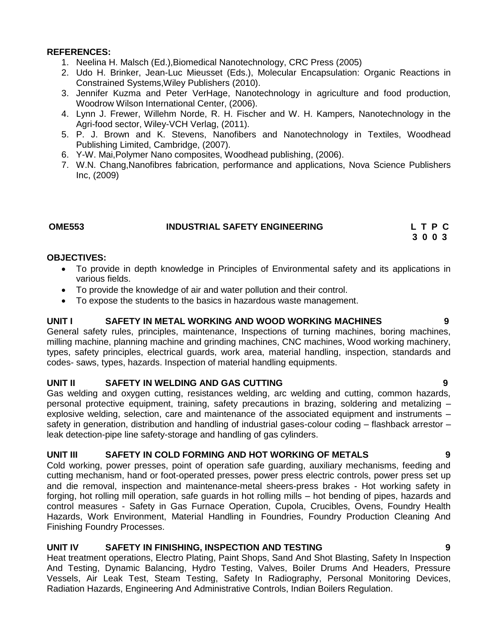### **REFERENCES:**

- 1. Neelina H. Malsch (Ed.),Biomedical Nanotechnology, CRC Press (2005)
- 2. Udo H. Brinker, Jean-Luc Mieusset (Eds.), Molecular Encapsulation: Organic Reactions in Constrained Systems,Wiley Publishers (2010).
- 3. Jennifer Kuzma and Peter VerHage, Nanotechnology in agriculture and food production, Woodrow Wilson International Center, (2006).
- 4. Lynn J. Frewer, Willehm Norde, R. H. Fischer and W. H. Kampers, Nanotechnology in the Agri-food sector, Wiley-VCH Verlag, (2011).
- 5. P. J. Brown and K. Stevens, Nanofibers and Nanotechnology in Textiles, Woodhead Publishing Limited, Cambridge, (2007).
- 6. Y-W. Mai,Polymer Nano composites, Woodhead publishing, (2006).
- 7. W.N. Chang,Nanofibres fabrication, performance and applications, Nova Science Publishers Inc, (2009)

## **OME553 INDUSTRIAL SAFETY ENGINEERING L T P C**

 **3 0 0 3**

## **OBJECTIVES:**

- To provide in depth knowledge in Principles of Environmental safety and its applications in various fields.
- To provide the knowledge of air and water pollution and their control.
- To expose the students to the basics in hazardous waste management.

## **UNIT I SAFETY IN METAL WORKING AND WOOD WORKING MACHINES 9**

General safety rules, principles, maintenance, Inspections of turning machines, boring machines, milling machine, planning machine and grinding machines, CNC machines, Wood working machinery, types, safety principles, electrical guards, work area, material handling, inspection, standards and codes- saws, types, hazards. Inspection of material handling equipments.

## **UNIT II SAFETY IN WELDING AND GAS CUTTING 9**

Gas welding and oxygen cutting, resistances welding, arc welding and cutting, common hazards, personal protective equipment, training, safety precautions in brazing, soldering and metalizing – explosive welding, selection, care and maintenance of the associated equipment and instruments – safety in generation, distribution and handling of industrial gases-colour coding – flashback arrestor – leak detection-pipe line safety-storage and handling of gas cylinders.

## **UNIT III SAFETY IN COLD FORMING AND HOT WORKING OF METALS 9**

Cold working, power presses, point of operation safe guarding, auxiliary mechanisms, feeding and cutting mechanism, hand or foot-operated presses, power press electric controls, power press set up and die removal, inspection and maintenance-metal sheers-press brakes - Hot working safety in forging, hot rolling mill operation, safe guards in hot rolling mills – hot bending of pipes, hazards and control measures - Safety in Gas Furnace Operation, Cupola, Crucibles, Ovens, Foundry Health Hazards, Work Environment, Material Handling in Foundries, Foundry Production Cleaning And Finishing Foundry Processes.

## **UNIT IV SAFETY IN FINISHING, INSPECTION AND TESTING 9**

Heat treatment operations, Electro Plating, Paint Shops, Sand And Shot Blasting, Safety In Inspection And Testing, Dynamic Balancing, Hydro Testing, Valves, Boiler Drums And Headers, Pressure Vessels, Air Leak Test, Steam Testing, Safety In Radiography, Personal Monitoring Devices, Radiation Hazards, Engineering And Administrative Controls, Indian Boilers Regulation.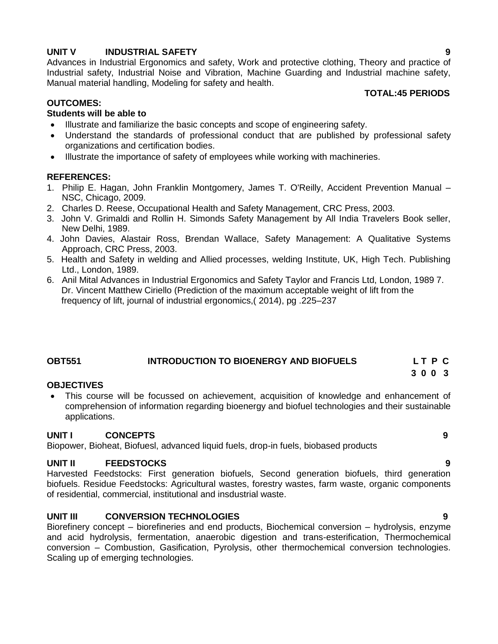## **UNIT V INDUSTRIAL SAFETY 9**

Advances in Industrial Ergonomics and safety, Work and protective clothing, Theory and practice of Industrial safety, Industrial Noise and Vibration, Machine Guarding and Industrial machine safety, Manual material handling, Modeling for safety and health.

## **TOTAL:45 PERIODS**

## **OUTCOMES:**

## **Students will be able to**

- Illustrate and familiarize the basic concepts and scope of engineering safety.
- Understand the standards of professional conduct that are published by professional safety organizations and certification bodies.
- Illustrate the importance of safety of employees while working with machineries.

## **REFERENCES:**

- 1. Philip E. Hagan, John Franklin Montgomery, James T. O'Reilly, Accident Prevention Manual NSC, Chicago, 2009.
- 2. Charles D. Reese, Occupational Health and Safety Management, CRC Press, 2003.
- 3. John V. Grimaldi and Rollin H. Simonds Safety Management by All India Travelers Book seller, New Delhi, 1989.
- 4. John Davies, Alastair Ross, Brendan Wallace, Safety Management: A Qualitative Systems Approach, CRC Press, 2003.
- 5. Health and Safety in welding and Allied processes, welding Institute, UK, High Tech. Publishing Ltd., London, 1989.
- 6. Anil Mital Advances in Industrial Ergonomics and Safety Taylor and Francis Ltd, London, 1989 7. Dr. Vincent Matthew Ciriello (Prediction of the maximum acceptable weight of lift from the frequency of lift, journal of industrial ergonomics,( 2014), pg .225–237

## **OBT551 INTRODUCTION TO BIOENERGY AND BIOFUELS L T P C**

## **OBJECTIVES**

 This course will be focussed on achievement, acquisition of knowledge and enhancement of comprehension of information regarding bioenergy and biofuel technologies and their sustainable applications.

## **UNIT I CONCEPTS 9**

Biopower, Bioheat, Biofuesl, advanced liquid fuels, drop-in fuels, biobased products

## **UNIT II FEEDSTOCKS 9**

Harvested Feedstocks: First generation biofuels, Second generation biofuels, third generation biofuels. Residue Feedstocks: Agricultural wastes, forestry wastes, farm waste, organic components of residential, commercial, institutional and insdustrial waste.

## **UNIT III CONVERSION TECHNOLOGIES 9**

Biorefinery concept – biorefineries and end products, Biochemical conversion – hydrolysis, enzyme and acid hydrolysis, fermentation, anaerobic digestion and trans-esterification, Thermochemical conversion – Combustion, Gasification, Pyrolysis, other thermochemical conversion technologies. Scaling up of emerging technologies.

 **3 0 0 3**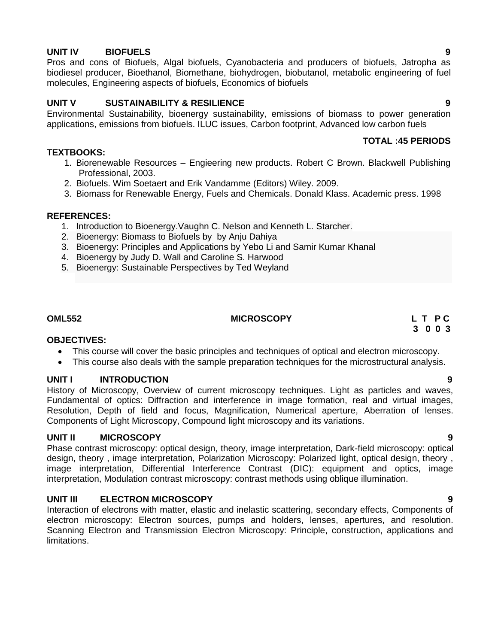## **UNIT IV BIOFUELS 9**

Pros and cons of Biofuels, Algal biofuels, Cyanobacteria and producers of biofuels, Jatropha as biodiesel producer, Bioethanol, Biomethane, biohydrogen, biobutanol, metabolic engineering of fuel molecules, Engineering aspects of biofuels, Economics of biofuels

## **UNIT V SUSTAINABILITY & RESILIENCE 9**

Environmental Sustainability, bioenergy sustainability, emissions of biomass to power generation applications, emissions from biofuels. ILUC issues, Carbon footprint, Advanced low carbon fuels

## **TOTAL :45 PERIODS**

## **TEXTBOOKS:**

- 1. Biorenewable Resources Engieering new products. Robert C Brown. Blackwell Publishing Professional, 2003.
- 2. Biofuels. Wim Soetaert and Erik Vandamme (Editors) Wiley. 2009.
- 3. Biomass for Renewable Energy, Fuels and Chemicals. Donald Klass. Academic press. 1998

## **REFERENCES:**

- 1. Introduction to Bioenergy.Vaughn C. Nelson and Kenneth L. Starcher.
- 2. Bioenergy: Biomass to Biofuels by by Anju Dahiya
- 3. Bioenergy: Principles and Applications by Yebo Li and Samir Kumar Khanal
- 4. Bioenergy by Judy D. Wall and Caroline S. Harwood
- 5. Bioenergy: Sustainable Perspectives by Ted Weyland

## **OML552** L T P C CML552

## **OBJECTIVES:**

- This course will cover the basic principles and techniques of optical and electron microscopy.
- This course also deals with the sample preparation techniques for the microstructural analysis.

## **UNIT I INTRODUCTION 9**

History of Microscopy, Overview of current microscopy techniques. Light as particles and waves, Fundamental of optics: Diffraction and interference in image formation, real and virtual images, Resolution, Depth of field and focus, Magnification, Numerical aperture, Aberration of lenses. Components of Light Microscopy, Compound light microscopy and its variations.

## **UNIT II MICROSCOPY 9**

Phase contrast microscopy: optical design, theory, image interpretation, Dark-field microscopy: optical design, theory , image interpretation, Polarization Microscopy: Polarized light, optical design, theory , image interpretation, Differential Interference Contrast (DIC): equipment and optics, image interpretation, Modulation contrast microscopy: contrast methods using oblique illumination.

## **UNIT III ELECTRON MICROSCOPY 9**

Interaction of electrons with matter, elastic and inelastic scattering, secondary effects, Components of electron microscopy: Electron sources, pumps and holders, lenses, apertures, and resolution. Scanning Electron and Transmission Electron Microscopy: Principle, construction, applications and limitations.

 **3 0 0 3**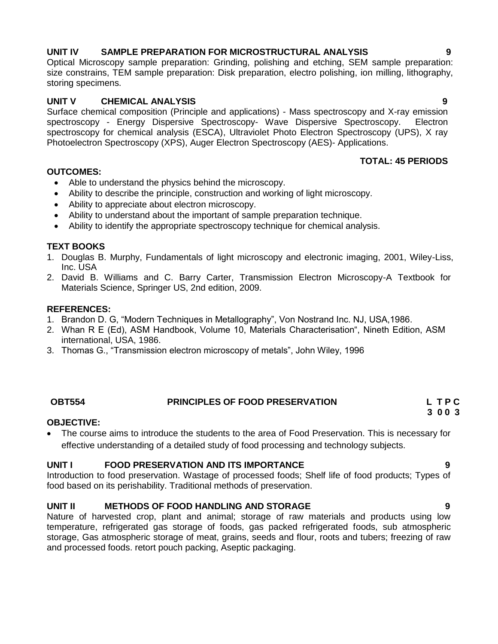## **UNIT IV SAMPLE PREPARATION FOR MICROSTRUCTURAL ANALYSIS 9**

Optical Microscopy sample preparation: Grinding, polishing and etching, SEM sample preparation: size constrains, TEM sample preparation: Disk preparation, electro polishing, ion milling, lithography, storing specimens.

## **UNIT V CHEMICAL ANALYSIS 9**

Surface chemical composition (Principle and applications) - Mass spectroscopy and X-ray emission spectroscopy - Energy Dispersive Spectroscopy- Wave Dispersive Spectroscopy. Electron spectroscopy for chemical analysis (ESCA), Ultraviolet Photo Electron Spectroscopy (UPS), X ray Photoelectron Spectroscopy (XPS), Auger Electron Spectroscopy (AES)- Applications.

## **TOTAL: 45 PERIODS**

- **OUTCOMES:**
	- Able to understand the physics behind the microscopy.
	- Ability to describe the principle, construction and working of light microscopy.
	- Ability to appreciate about electron microscopy.
	- Ability to understand about the important of sample preparation technique.
	- Ability to identify the appropriate spectroscopy technique for chemical analysis.

## **TEXT BOOKS**

- 1. Douglas B. Murphy, Fundamentals of light microscopy and electronic imaging, 2001, Wiley-Liss, Inc. USA
- 2. David B. Williams and C. Barry Carter, Transmission Electron Microscopy-A Textbook for Materials Science, Springer US, 2nd edition, 2009.

## **REFERENCES:**

- 1. Brandon D. G, "Modern Techniques in Metallography", Von Nostrand Inc. NJ, USA,1986.
- 2. Whan R E (Ed), ASM Handbook, Volume 10, Materials Characterisation", Nineth Edition, ASM international, USA, 1986.
- 3. Thomas G., "Transmission electron microscopy of metals", John Wiley, 1996

## **OBT554 PRINCIPLES OF FOOD PRESERVATION L T P C**

# **3 0 0 3**

## **OBJECTIVE:**

 The course aims to introduce the students to the area of Food Preservation. This is necessary for effective understanding of a detailed study of food processing and technology subjects.

## **UNIT I FOOD PRESERVATION AND ITS IMPORTANCE 9**

Introduction to food preservation. Wastage of processed foods; Shelf life of food products; Types of food based on its perishability. Traditional methods of preservation.

## **UNIT II METHODS OF FOOD HANDLING AND STORAGE 9**

Nature of harvested crop, plant and animal; storage of raw materials and products using low temperature, refrigerated gas storage of foods, gas packed refrigerated foods, sub atmospheric storage, Gas atmospheric storage of meat, grains, seeds and flour, roots and tubers; freezing of raw and processed foods. retort pouch packing, Aseptic packaging.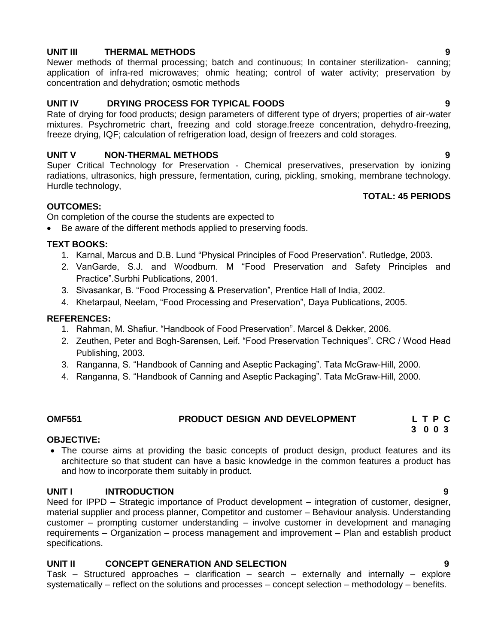## **UNIT III THERMAL METHODS 9**

Newer methods of thermal processing; batch and continuous; In container sterilization- canning; application of infra-red microwaves; ohmic heating; control of water activity; preservation by concentration and dehydration; osmotic methods

## **UNIT IV DRYING PROCESS FOR TYPICAL FOODS 9**

Rate of drying for food products; design parameters of different type of dryers; properties of air-water mixtures. Psychrometric chart, freezing and cold storage.freeze concentration, dehydro-freezing, freeze drying, IQF; calculation of refrigeration load, design of freezers and cold storages.

## **UNIT V NON-THERMAL METHODS 9**

Super Critical Technology for Preservation - Chemical preservatives, preservation by ionizing radiations, ultrasonics, high pressure, fermentation, curing, pickling, smoking, membrane technology. Hurdle technology,

## **OUTCOMES:**

On completion of the course the students are expected to

Be aware of the different methods applied to preserving foods.

## **TEXT BOOKS:**

- 1. Karnal, Marcus and D.B. Lund "Physical Principles of Food Preservation". Rutledge, 2003.
- 2. VanGarde, S.J. and Woodburn. M "Food Preservation and Safety Principles and Practice".Surbhi Publications, 2001.
- 3. Sivasankar, B. "Food Processing & Preservation", Prentice Hall of India, 2002.
- 4. Khetarpaul, Neelam, "Food Processing and Preservation", Daya Publications, 2005.

## **REFERENCES:**

- 1. Rahman, M. Shafiur. "Handbook of Food Preservation". Marcel & Dekker, 2006.
- 2. Zeuthen, Peter and Bogh-Sarensen, Leif. "Food Preservation Techniques". CRC / Wood Head Publishing, 2003.
- 3. Ranganna, S. "Handbook of Canning and Aseptic Packaging". Tata McGraw-Hill, 2000.
- 4. Ranganna, S. "Handbook of Canning and Aseptic Packaging". Tata McGraw-Hill, 2000.

### **OMF551 PRODUCT DESIGN AND DEVELOPMENT L T P C 3 0 0 3**

## **OBJECTIVE:**

• The course aims at providing the basic concepts of product design, product features and its architecture so that student can have a basic knowledge in the common features a product has and how to incorporate them suitably in product.

## **UNIT I INTRODUCTION 9**

Need for IPPD – Strategic importance of Product development – integration of customer, designer, material supplier and process planner, Competitor and customer – Behaviour analysis. Understanding customer – prompting customer understanding – involve customer in development and managing requirements – Organization – process management and improvement – Plan and establish product specifications.

## **UNIT II CONCEPT GENERATION AND SELECTION 9**

Task – Structured approaches – clarification – search – externally and internally – explore systematically – reflect on the solutions and processes – concept selection – methodology – benefits.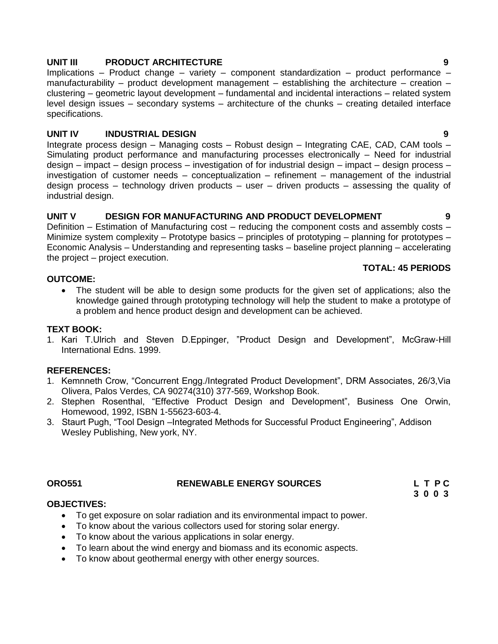## **UNIT III PRODUCT ARCHITECTURE 9**

Implications – Product change – variety – component standardization – product performance – manufacturability – product development management – establishing the architecture – creation – clustering – geometric layout development – fundamental and incidental interactions – related system level design issues – secondary systems – architecture of the chunks – creating detailed interface specifications.

## **UNIT IV INDUSTRIAL DESIGN 9**

Integrate process design – Managing costs – Robust design – Integrating CAE, CAD, CAM tools – Simulating product performance and manufacturing processes electronically – Need for industrial design – impact – design process – investigation of for industrial design – impact – design process – investigation of customer needs – conceptualization – refinement – management of the industrial design process – technology driven products – user – driven products – assessing the quality of industrial design.

## **UNIT V DESIGN FOR MANUFACTURING AND PRODUCT DEVELOPMENT 9**

Definition – Estimation of Manufacturing cost – reducing the component costs and assembly costs – Minimize system complexity – Prototype basics – principles of prototyping – planning for prototypes – Economic Analysis – Understanding and representing tasks – baseline project planning – accelerating the project – project execution.

## **OUTCOME:**

# **TOTAL: 45 PERIODS**

 The student will be able to design some products for the given set of applications; also the knowledge gained through prototyping technology will help the student to make a prototype of a problem and hence product design and development can be achieved.

## **TEXT BOOK:**

1. Kari T.Ulrich and Steven D.Eppinger, "Product Design and Development", McGraw-Hill International Edns. 1999.

## **REFERENCES:**

- 1. Kemnneth Crow, "Concurrent Engg./Integrated Product Development", DRM Associates, 26/3,Via Olivera, Palos Verdes, CA 90274(310) 377-569, Workshop Book.
- 2. Stephen Rosenthal, "Effective Product Design and Development", Business One Orwin, Homewood, 1992, ISBN 1-55623-603-4.
- 3. Staurt Pugh, "Tool Design –Integrated Methods for Successful Product Engineering", Addison Wesley Publishing, New york, NY.

## **ORO551** RENEWABLE ENERGY SOURCES L T P C

 **3 0 0 3**

## **OBJECTIVES:**

- To get exposure on solar radiation and its environmental impact to power.
- To know about the various collectors used for storing solar energy.
- To know about the various applications in solar energy.
- To learn about the wind energy and biomass and its economic aspects.
- To know about geothermal energy with other energy sources.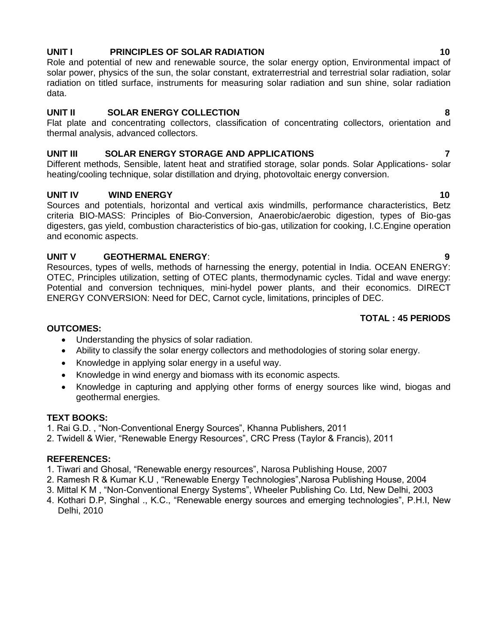## **UNIT I PRINCIPLES OF SOLAR RADIATION 10**

Role and potential of new and renewable source, the solar energy option, Environmental impact of solar power, physics of the sun, the solar constant, extraterrestrial and terrestrial solar radiation, solar radiation on titled surface, instruments for measuring solar radiation and sun shine, solar radiation data.

## **UNIT II SOLAR ENERGY COLLECTION 8**

Flat plate and concentrating collectors, classification of concentrating collectors, orientation and thermal analysis, advanced collectors.

## **UNIT III SOLAR ENERGY STORAGE AND APPLICATIONS 7**

Different methods, Sensible, latent heat and stratified storage, solar ponds. Solar Applications- solar heating/cooling technique, solar distillation and drying, photovoltaic energy conversion.

## **UNIT IV WIND ENERGY 10 10**

Sources and potentials, horizontal and vertical axis windmills, performance characteristics, Betz criteria BIO-MASS: Principles of Bio-Conversion, Anaerobic/aerobic digestion, types of Bio-gas digesters, gas yield, combustion characteristics of bio-gas, utilization for cooking, I.C.Engine operation and economic aspects.

## **UNIT V GEOTHERMAL ENERGY**: **9**

Resources, types of wells, methods of harnessing the energy, potential in India. OCEAN ENERGY: OTEC, Principles utilization, setting of OTEC plants, thermodynamic cycles. Tidal and wave energy: Potential and conversion techniques, mini-hydel power plants, and their economics. DIRECT ENERGY CONVERSION: Need for DEC, Carnot cycle, limitations, principles of DEC.

## **TOTAL : 45 PERIODS**

## **OUTCOMES:**

- Understanding the physics of solar radiation.
- Ability to classify the solar energy collectors and methodologies of storing solar energy.
- Knowledge in applying solar energy in a useful way.
- Knowledge in wind energy and biomass with its economic aspects.
- Knowledge in capturing and applying other forms of energy sources like wind, biogas and geothermal energies.

## **TEXT BOOKS:**

- 1. Rai G.D. , "Non-Conventional Energy Sources", Khanna Publishers, 2011
- 2. Twidell & Wier, "Renewable Energy Resources", CRC Press (Taylor & Francis), 2011

- 1. Tiwari and Ghosal, "Renewable energy resources", Narosa Publishing House, 2007
- 2. Ramesh R & Kumar K.U , "Renewable Energy Technologies",Narosa Publishing House, 2004
- 3. Mittal K M , "Non-Conventional Energy Systems", Wheeler Publishing Co. Ltd, New Delhi, 2003
- 4. Kothari D.P, Singhal ., K.C., "Renewable energy sources and emerging technologies", P.H.I, New Delhi, 2010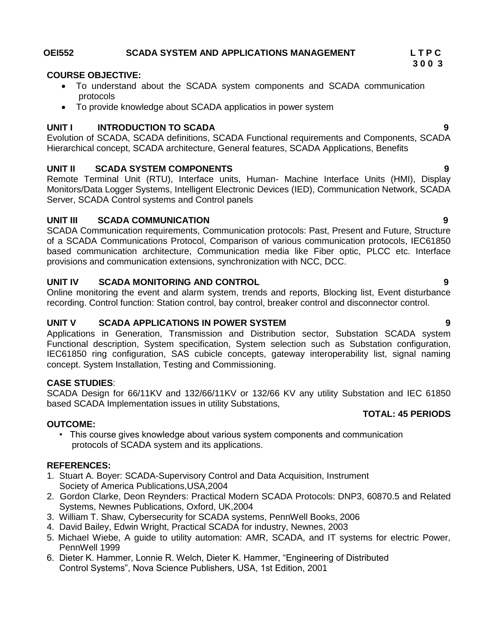## **OEI552 SCADA SYSTEM AND APPLICATIONS MANAGEMENT L T P C**

## **COURSE OBJECTIVE:**

- To understand about the SCADA system components and SCADA communication protocols
- To provide knowledge about SCADA applicatios in power system

## **UNIT I INTRODUCTION TO SCADA 9**

Evolution of SCADA, SCADA definitions, SCADA Functional requirements and Components, SCADA Hierarchical concept, SCADA architecture, General features, SCADA Applications, Benefits

## **UNIT II SCADA SYSTEM COMPONENTS 9**

Remote Terminal Unit (RTU), Interface units, Human- Machine Interface Units (HMI), Display Monitors/Data Logger Systems, Intelligent Electronic Devices (IED), Communication Network, SCADA Server, SCADA Control systems and Control panels

## **UNIT III SCADA COMMUNICATION 9**

SCADA Communication requirements, Communication protocols: Past, Present and Future, Structure of a SCADA Communications Protocol, Comparison of various communication protocols, IEC61850 based communication architecture, Communication media like Fiber optic, PLCC etc. Interface provisions and communication extensions, synchronization with NCC, DCC.

## **UNIT IV SCADA MONITORING AND CONTROL 9**

Online monitoring the event and alarm system, trends and reports, Blocking list, Event disturbance recording. Control function: Station control, bay control, breaker control and disconnector control.

## **UNIT V SCADA APPLICATIONS IN POWER SYSTEM 9**

Applications in Generation, Transmission and Distribution sector, Substation SCADA system Functional description, System specification, System selection such as Substation configuration, IEC61850 ring configuration, SAS cubicle concepts, gateway interoperability list, signal naming concept. System Installation, Testing and Commissioning.

## **CASE STUDIES**:

SCADA Design for 66/11KV and 132/66/11KV or 132/66 KV any utility Substation and IEC 61850 based SCADA Implementation issues in utility Substations,

## **TOTAL: 45 PERIODS**

**OUTCOME:** • This course gives knowledge about various system components and communication protocols of SCADA system and its applications.

## **REFERENCES:**

- 1. Stuart A. Boyer: SCADA-Supervisory Control and Data Acquisition, Instrument Society of America Publications,USA,2004
- 2. Gordon Clarke, Deon Reynders: Practical Modern SCADA Protocols: DNP3, 60870.5 and Related Systems, Newnes Publications, Oxford, UK,2004
- 3. William T. Shaw, Cybersecurity for SCADA systems, PennWell Books, 2006
- 4. David Bailey, Edwin Wright, Practical SCADA for industry, Newnes, 2003
- 5. Michael Wiebe, A guide to utility automation: AMR, SCADA, and IT systems for electric Power, PennWell 1999
- 6. Dieter K. Hammer, Lonnie R. Welch, Dieter K. Hammer, "Engineering of Distributed Control Systems", Nova Science Publishers, USA, 1st Edition, 2001

**3 0 0 3**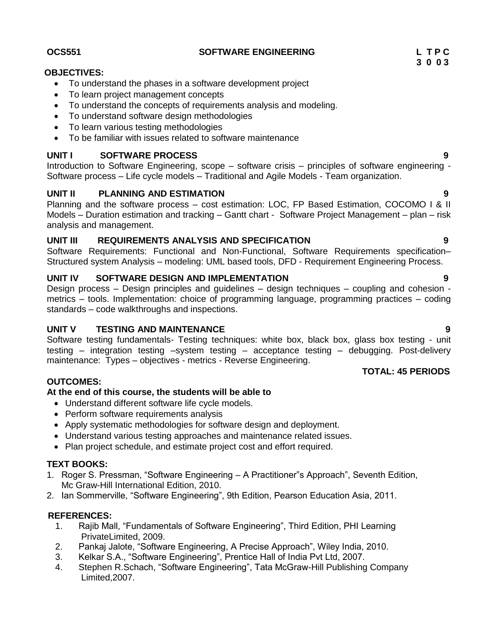**OCS551 SOFTWARE ENGINEERING L T P C**

## **OBJECTIVES:**

- To understand the phases in a software development project
- To learn project management concepts
- To understand the concepts of requirements analysis and modeling.
- To understand software design methodologies
- To learn various testing methodologies
- To be familiar with issues related to software maintenance

## **UNIT I SOFTWARE PROCESS 9**

Introduction to Software Engineering, scope – software crisis – principles of software engineering - Software process – Life cycle models – Traditional and Agile Models - Team organization.

## **UNIT II PLANNING AND ESTIMATION 9**

Planning and the software process – cost estimation: LOC, FP Based Estimation, COCOMO I & II Models – Duration estimation and tracking – Gantt chart - Software Project Management – plan – risk analysis and management.

## **UNIT III REQUIREMENTS ANALYSIS AND SPECIFICATION 9**

Software Requirements: Functional and Non-Functional, Software Requirements specification– Structured system Analysis – modeling: UML based tools, DFD - Requirement Engineering Process.

## **UNIT IV SOFTWARE DESIGN AND IMPLEMENTATION 9**

Design process – Design principles and guidelines – design techniques – coupling and cohesion metrics – tools. Implementation: choice of programming language, programming practices – coding standards – code walkthroughs and inspections.

## **UNIT V TESTING AND MAINTENANCE 9**

Software testing fundamentals- Testing techniques: white box, black box, glass box testing - unit testing – integration testing –system testing – acceptance testing – debugging. Post-delivery maintenance: Types – objectives - metrics - Reverse Engineering.

## **OUTCOMES:**

## **At the end of this course, the students will be able to**

- Understand different software life cycle models.
- Perform software requirements analysis
- Apply systematic methodologies for software design and deployment.
- Understand various testing approaches and maintenance related issues.
- Plan project schedule, and estimate project cost and effort required.

## **TEXT BOOKS:**

- 1. Roger S. Pressman, "Software Engineering A Practitioner"s Approach", Seventh Edition, Mc Graw-Hill International Edition, 2010.
- 2. Ian Sommerville, "Software Engineering", 9th Edition, Pearson Education Asia, 2011.

## **REFERENCES:**

- 1. Rajib Mall, "Fundamentals of Software Engineering", Third Edition, PHI Learning PrivateLimited, 2009.
- 2. Pankaj Jalote, "Software Engineering, A Precise Approach", Wiley India, 2010.
- 3. Kelkar S.A., "Software Engineering", Prentice Hall of India Pvt Ltd, 2007.
- 4. Stephen R.Schach, "Software Engineering", Tata McGraw-Hill Publishing Company Limited,2007.

 **3 0 0 3**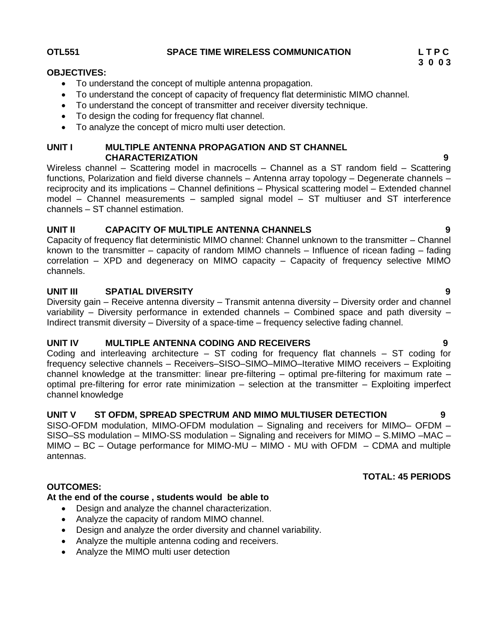## **OTL551 SPACE TIME WIRELESS COMMUNICATION L T P C**

- To understand the concept of multiple antenna propagation.
- To understand the concept of capacity of frequency flat deterministic MIMO channel.
- To understand the concept of transmitter and receiver diversity technique.
- To design the coding for frequency flat channel.
- To analyze the concept of micro multi user detection.

## **UNIT I MULTIPLE ANTENNA PROPAGATION AND ST CHANNEL CHARACTERIZATION 9**

Wireless channel – Scattering model in macrocells – Channel as a ST random field – Scattering functions, Polarization and field diverse channels – Antenna array topology – Degenerate channels – reciprocity and its implications – Channel definitions – Physical scattering model – Extended channel model – Channel measurements – sampled signal model – ST multiuser and ST interference channels – ST channel estimation.

## **UNIT II CAPACITY OF MULTIPLE ANTENNA CHANNELS 9**

Capacity of frequency flat deterministic MIMO channel: Channel unknown to the transmitter – Channel known to the transmitter – capacity of random MIMO channels – Influence of ricean fading – fading correlation – XPD and degeneracy on MIMO capacity – Capacity of frequency selective MIMO channels.

## **UNIT III SPATIAL DIVERSITY 9**

Diversity gain – Receive antenna diversity – Transmit antenna diversity – Diversity order and channel variability – Diversity performance in extended channels – Combined space and path diversity – Indirect transmit diversity – Diversity of a space-time – frequency selective fading channel.

## **UNIT IV MULTIPLE ANTENNA CODING AND RECEIVERS 9**

Coding and interleaving architecture – ST coding for frequency flat channels – ST coding for frequency selective channels – Receivers–SISO–SIMO–MIMO–Iterative MIMO receivers – Exploiting channel knowledge at the transmitter: linear pre-filtering – optimal pre-filtering for maximum rate – optimal pre-filtering for error rate minimization – selection at the transmitter – Exploiting imperfect channel knowledge

## **UNIT V ST OFDM, SPREAD SPECTRUM AND MIMO MULTIUSER DETECTION 9**

SISO-OFDM modulation, MIMO-OFDM modulation – Signaling and receivers for MIMO– OFDM – SISO–SS modulation – MIMO-SS modulation – Signaling and receivers for MIMO – S.MIMO –MAC – MIMO – BC – Outage performance for MIMO-MU – MIMO - MU with OFDM – CDMA and multiple antennas.

## **TOTAL: 45 PERIODS**

## **OUTCOMES:**

## **At the end of the course , students would be able to**

- Design and analyze the channel characterization.
- Analyze the capacity of random MIMO channel.
- Design and analyze the order diversity and channel variability.
- Analyze the multiple antenna coding and receivers.
- Analyze the MIMO multi user detection

**3 0 0 3**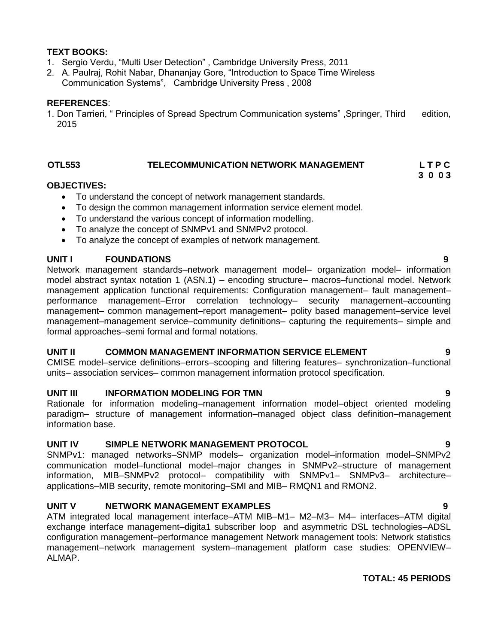## **TEXT BOOKS:**

- 1. Sergio Verdu, "Multi User Detection" , Cambridge University Press, 2011
- 2. A. Paulraj, Rohit Nabar, Dhananjay Gore, "Introduction to Space Time Wireless Communication Systems", Cambridge University Press , 2008

## **REFERENCES**:

1. Don Tarrieri, " Principles of Spread Spectrum Communication systems" ,Springer, Third edition, 2015

## **OTL553 TELECOMMUNICATION NETWORK MANAGEMENT L T P C**

## **OBJECTIVES:**

- To understand the concept of network management standards.
- To design the common management information service element model.
- To understand the various concept of information modelling.
- To analyze the concept of SNMPv1 and SNMPv2 protocol.
- To analyze the concept of examples of network management.

## **UNIT I FOUNDATIONS 9**

Network management standards–network management model– organization model– information model abstract syntax notation 1 (ASN.1) – encoding structure– macros–functional model. Network management application functional requirements: Configuration management– fault management– performance management–Error correlation technology– security management–accounting management– common management–report management– polity based management–service level management–management service–community definitions– capturing the requirements– simple and formal approaches–semi formal and formal notations.

## **UNIT II COMMON MANAGEMENT INFORMATION SERVICE ELEMENT 9**

CMISE model–service definitions–errors–scooping and filtering features– synchronization–functional units– association services– common management information protocol specification.

## **UNIT III INFORMATION MODELING FOR TMN 9**

Rationale for information modeling–management information model–object oriented modeling paradigm– structure of management information–managed object class definition–management information base.

## **UNIT IV SIMPLE NETWORK MANAGEMENT PROTOCOL 9**

SNMPv1: managed networks–SNMP models– organization model–information model–SNMPv2 communication model–functional model–major changes in SNMPv2–structure of management information, MIB–SNMPv2 protocol– compatibility with SNMPv1– SNMPv3– architecture– applications–MIB security, remote monitoring–SMI and MIB– RMQN1 and RMON2.

## **UNIT V NETWORK MANAGEMENT EXAMPLES 9**

ATM integrated local management interface–ATM MIB–M1– M2–M3– M4– interfaces–ATM digital exchange interface management–digita1 subscriber loop and asymmetric DSL technologies–ADSL configuration management–performance management Network management tools: Network statistics management–network management system–management platform case studies: OPENVIEW– ALMAP.

## **TOTAL: 45 PERIODS**

**3 0 0 3**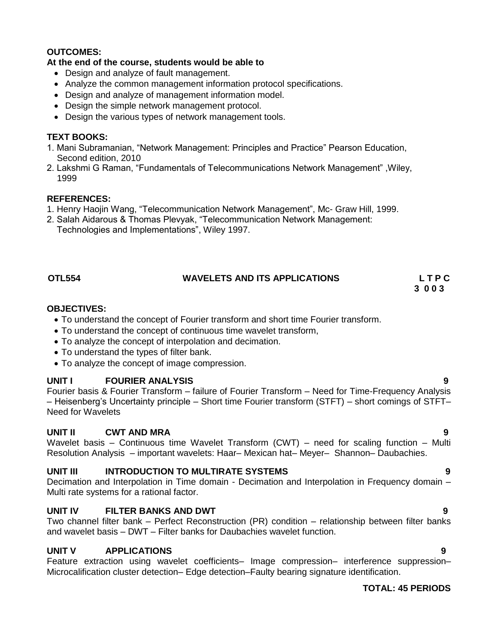## **OUTCOMES:**

## **At the end of the course, students would be able to**

- Design and analyze of fault management.
- Analyze the common management information protocol specifications.
- Design and analyze of management information model.
- Design the simple network management protocol.
- Design the various types of network management tools.

## **TEXT BOOKS:**

- 1. Mani Subramanian, "Network Management: Principles and Practice" Pearson Education, Second edition, 2010
- 2. Lakshmi G Raman, "Fundamentals of Telecommunications Network Management" ,Wiley, 1999

## **REFERENCES:**

- 1. Henry Haojin Wang, "Telecommunication Network Management", Mc- Graw Hill, 1999.
- 2. Salah Aidarous & Thomas Plevyak, "Telecommunication Network Management: Technologies and Implementations", Wiley 1997.

## **OTL554 WAVELETS AND ITS APPLICATIONS L T P C**

# **3 0 0 3**

## **OBJECTIVES:**

- To understand the concept of Fourier transform and short time Fourier transform.
- To understand the concept of continuous time wavelet transform,
- To analyze the concept of interpolation and decimation.
- To understand the types of filter bank.
- To analyze the concept of image compression.

## **UNIT I FOURIER ANALYSIS 9**

Fourier basis & Fourier Transform – failure of Fourier Transform – Need for Time-Frequency Analysis – Heisenberg"s Uncertainty principle – Short time Fourier transform (STFT) – short comings of STFT– Need for Wavelets

## **UNIT II CWT AND MRA 9**

Wavelet basis – Continuous time Wavelet Transform (CWT) – need for scaling function – Multi Resolution Analysis – important wavelets: Haar– Mexican hat– Meyer– Shannon– Daubachies.

## **UNIT III INTRODUCTION TO MULTIRATE SYSTEMS 9**

Decimation and Interpolation in Time domain - Decimation and Interpolation in Frequency domain – Multi rate systems for a rational factor.

## **UNIT IV FILTER BANKS AND DWT 9**

Two channel filter bank – Perfect Reconstruction (PR) condition – relationship between filter banks and wavelet basis – DWT – Filter banks for Daubachies wavelet function.

## **UNIT V APPLICATIONS 9**

Feature extraction using wavelet coefficients– Image compression– interference suppression– Microcalification cluster detection– Edge detection–Faulty bearing signature identification.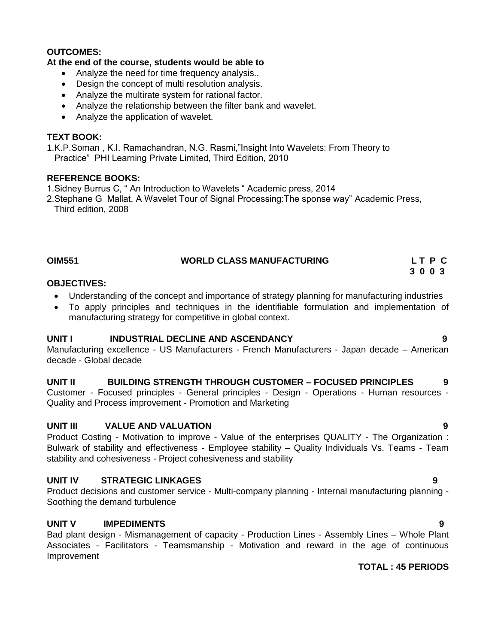## **OUTCOMES:**

## **At the end of the course, students would be able to**

- Analyze the need for time frequency analysis..
- Design the concept of multi resolution analysis.
- Analyze the multirate system for rational factor.
- Analyze the relationship between the filter bank and wavelet.
- Analyze the application of wavelet.

## **TEXT BOOK:**

1.K.P.Soman , K.I. Ramachandran, N.G. Rasmi,"Insight Into Wavelets: From Theory to Practice" PHI Learning Private Limited, Third Edition, 2010

## **REFERENCE BOOKS:**

1.Sidney Burrus C, " An Introduction to Wavelets " Academic press, 2014

2.Stephane G Mallat, A Wavelet Tour of Signal Processing:The sponse way" Academic Press, Third edition, 2008

| <b>OIM551</b> | <b>WORLD CLASS MANUFACTURING</b> | LT P C |
|---------------|----------------------------------|--------|
|               |                                  | 3003   |

## **OBJECTIVES:**

- Understanding of the concept and importance of strategy planning for manufacturing industries
- To apply principles and techniques in the identifiable formulation and implementation of manufacturing strategy for competitive in global context.

## **UNIT I INDUSTRIAL DECLINE AND ASCENDANCY 9**

Manufacturing excellence - US Manufacturers - French Manufacturers - Japan decade – American decade - Global decade

## **UNIT II BUILDING STRENGTH THROUGH CUSTOMER – FOCUSED PRINCIPLES 9**

Customer - Focused principles - General principles - Design - Operations - Human resources - Quality and Process improvement - Promotion and Marketing

## **UNIT III VALUE AND VALUATION 9**

Product Costing - Motivation to improve - Value of the enterprises QUALITY - The Organization : Bulwark of stability and effectiveness - Employee stability – Quality Individuals Vs. Teams - Team stability and cohesiveness - Project cohesiveness and stability

## **UNIT IV STRATEGIC LINKAGES 9**

Product decisions and customer service - Multi-company planning - Internal manufacturing planning - Soothing the demand turbulence

## **UNIT V IMPEDIMENTS 9**

Bad plant design - Mismanagement of capacity - Production Lines - Assembly Lines – Whole Plant Associates - Facilitators - Teamsmanship - Motivation and reward in the age of continuous Improvement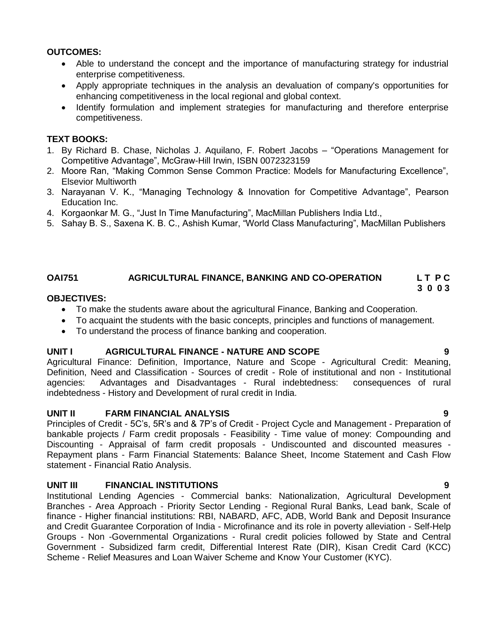## **OUTCOMES:**

- Able to understand the concept and the importance of manufacturing strategy for industrial enterprise competitiveness.
- Apply appropriate techniques in the analysis an devaluation of company's opportunities for enhancing competitiveness in the local regional and global context.
- Identify formulation and implement strategies for manufacturing and therefore enterprise competitiveness.

## **TEXT BOOKS:**

- 1. By Richard B. Chase, Nicholas J. Aquilano, F. Robert Jacobs "Operations Management for Competitive Advantage", McGraw-Hill Irwin, ISBN 0072323159
- 2. Moore Ran, "Making Common Sense Common Practice: Models for Manufacturing Excellence", Elsevior Multiworth
- 3. Narayanan V. K., "Managing Technology & Innovation for Competitive Advantage", Pearson Education Inc.
- 4. Korgaonkar M. G., "Just In Time Manufacturing", MacMillan Publishers India Ltd.,
- 5. Sahay B. S., Saxena K. B. C., Ashish Kumar, "World Class Manufacturing", MacMillan Publishers

## **OAI751 AGRICULTURAL FINANCE, BANKING AND CO-OPERATION L T P C 3 0 0 3**

## **OBJECTIVES:**

- To make the students aware about the agricultural Finance, Banking and Cooperation.
- To acquaint the students with the basic concepts, principles and functions of management.
- To understand the process of finance banking and cooperation.

## **UNIT I AGRICULTURAL FINANCE - NATURE AND SCOPE 9**

Agricultural Finance: Definition, Importance, Nature and Scope - Agricultural Credit: Meaning, Definition, Need and Classification - Sources of credit - Role of institutional and non - Institutional agencies: Advantages and Disadvantages - Rural indebtedness: consequences of rural indebtedness - History and Development of rural credit in India.

## **UNIT II FARM FINANCIAL ANALYSIS 9**

Principles of Credit - 5C"s, 5R"s and & 7P"s of Credit - Project Cycle and Management - Preparation of bankable projects / Farm credit proposals - Feasibility - Time value of money: Compounding and Discounting - Appraisal of farm credit proposals - Undiscounted and discounted measures - Repayment plans - Farm Financial Statements: Balance Sheet, Income Statement and Cash Flow statement - Financial Ratio Analysis.

## **UNIT III FINANCIAL INSTITUTIONS 9**

Institutional Lending Agencies - Commercial banks: Nationalization, Agricultural Development Branches - Area Approach - Priority Sector Lending - Regional Rural Banks, Lead bank, Scale of finance - Higher financial institutions: RBI, NABARD, AFC, ADB, World Bank and Deposit Insurance and Credit Guarantee Corporation of India - Microfinance and its role in poverty alleviation - Self-Help Groups - Non -Governmental Organizations - Rural credit policies followed by State and Central Government - Subsidized farm credit, Differential Interest Rate (DIR), Kisan Credit Card (KCC) Scheme - Relief Measures and Loan Waiver Scheme and Know Your Customer (KYC).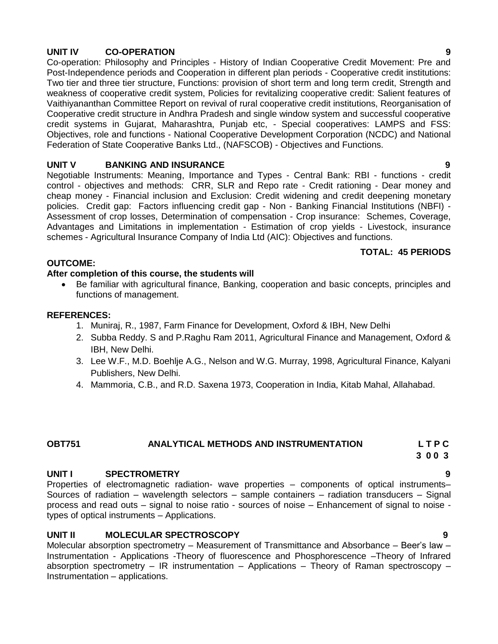## **UNIT IV CO-OPERATION 9**

Co-operation: Philosophy and Principles - History of Indian Cooperative Credit Movement: Pre and Post-Independence periods and Cooperation in different plan periods - Cooperative credit institutions: Two tier and three tier structure, Functions: provision of short term and long term credit, Strength and weakness of cooperative credit system, Policies for revitalizing cooperative credit: Salient features of Vaithiyananthan Committee Report on revival of rural cooperative credit institutions, Reorganisation of Cooperative credit structure in Andhra Pradesh and single window system and successful cooperative credit systems in Gujarat, Maharashtra, Punjab etc, - Special cooperatives: LAMPS and FSS: Objectives, role and functions - National Cooperative Development Corporation (NCDC) and National Federation of State Cooperative Banks Ltd., (NAFSCOB) - Objectives and Functions.

## **UNIT V BANKING AND INSURANCE 9**

Negotiable Instruments: Meaning, Importance and Types - Central Bank: RBI - functions - credit control - objectives and methods: CRR, SLR and Repo rate - Credit rationing - Dear money and cheap money - Financial inclusion and Exclusion: Credit widening and credit deepening monetary policies. Credit gap: Factors influencing credit gap - Non - Banking Financial Institutions (NBFI) - Assessment of crop losses, Determination of compensation - Crop insurance: Schemes, Coverage, Advantages and Limitations in implementation - Estimation of crop yields - Livestock, insurance schemes - Agricultural Insurance Company of India Ltd (AIC): Objectives and functions.

## **TOTAL: 45 PERIODS**

## **OUTCOME:**

## **After completion of this course, the students will**

 Be familiar with agricultural finance, Banking, cooperation and basic concepts, principles and functions of management.

## **REFERENCES:**

- 1. Muniraj, R., 1987, Farm Finance for Development, Oxford & IBH, New Delhi
- 2. Subba Reddy. S and P.Raghu Ram 2011, Agricultural Finance and Management, Oxford & IBH, New Delhi.
- 3. Lee W.F., M.D. Boehlje A.G., Nelson and W.G. Murray, 1998, Agricultural Finance, Kalyani Publishers, New Delhi.
- 4. Mammoria, C.B., and R.D. Saxena 1973, Cooperation in India, Kitab Mahal, Allahabad.

## **OBT751 ANALYTICAL METHODS AND INSTRUMENTATION L T P C**

### **3 0 0 3**

## **UNIT I SPECTROMETRY 9**

Properties of electromagnetic radiation- wave properties – components of optical instruments– Sources of radiation – wavelength selectors – sample containers – radiation transducers – Signal process and read outs – signal to noise ratio - sources of noise – Enhancement of signal to noise types of optical instruments – Applications.

## **UNIT II MOLECULAR SPECTROSCOPY 9**

Molecular absorption spectrometry – Measurement of Transmittance and Absorbance – Beer"s law – Instrumentation - Applications -Theory of fluorescence and Phosphorescence –Theory of Infrared absorption spectrometry  $-$  IR instrumentation  $-$  Applications  $-$  Theory of Raman spectroscopy  $-$ Instrumentation – applications.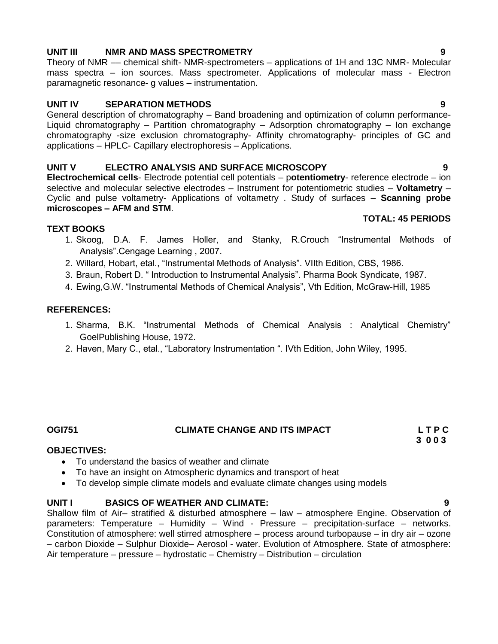## **UNIT III NMR AND MASS SPECTROMETRY 9**

Theory of NMR –– chemical shift- NMR-spectrometers – applications of 1H and 13C NMR- Molecular mass spectra – ion sources. Mass spectrometer. Applications of molecular mass - Electron paramagnetic resonance- g values – instrumentation.

## **UNIT IV SEPARATION METHODS 9**

General description of chromatography – Band broadening and optimization of column performance-Liquid chromatography – Partition chromatography – Adsorption chromatography – Ion exchange chromatography -size exclusion chromatography- Affinity chromatography- principles of GC and applications – HPLC- Capillary electrophoresis – Applications.

## **UNIT V ELECTRO ANALYSIS AND SURFACE MICROSCOPY 9**

**Electrochemical cells**- Electrode potential cell potentials – p**otentiometry**- reference electrode – ion selective and molecular selective electrodes – Instrument for potentiometric studies – **Voltametry** – Cyclic and pulse voltametry- Applications of voltametry . Study of surfaces – **Scanning probe microscopes – AFM and STM**. **TOTAL: 45 PERIODS**

## **TEXT BOOKS**

- 1. Skoog, D.A. F. James Holler, and Stanky, R.Crouch "Instrumental Methods of Analysis".Cengage Learning , 2007.
- 2. Willard, Hobart, etal., "Instrumental Methods of Analysis". VIIth Edition, CBS, 1986.
- 3. Braun, Robert D. " Introduction to Instrumental Analysis". Pharma Book Syndicate, 1987.
- 4. Ewing,G.W. "Instrumental Methods of Chemical Analysis", Vth Edition, McGraw-Hill, 1985

## **REFERENCES:**

- 1. Sharma, B.K. "Instrumental Methods of Chemical Analysis : Analytical Chemistry" GoelPublishing House, 1972.
- 2. Haven, Mary C., etal., "Laboratory Instrumentation ". IVth Edition, John Wiley, 1995.

## **OGI751 CLIMATE CHANGE AND ITS IMPACT L T P C**

 **3 0 0 3**

## **OBJECTIVES:**

- To understand the basics of weather and climate
- To have an insight on Atmospheric dynamics and transport of heat
- To develop simple climate models and evaluate climate changes using models

## **UNIT I BASICS OF WEATHER AND CLIMATE: 9**

Shallow film of Air– stratified & disturbed atmosphere – law – atmosphere Engine. Observation of parameters: Temperature – Humidity – Wind - Pressure – precipitation-surface – networks. Constitution of atmosphere: well stirred atmosphere – process around turbopause – in dry air – ozone – carbon Dioxide – Sulphur Dioxide– Aerosol - water. Evolution of Atmosphere. State of atmosphere: Air temperature – pressure – hydrostatic – Chemistry – Distribution – circulation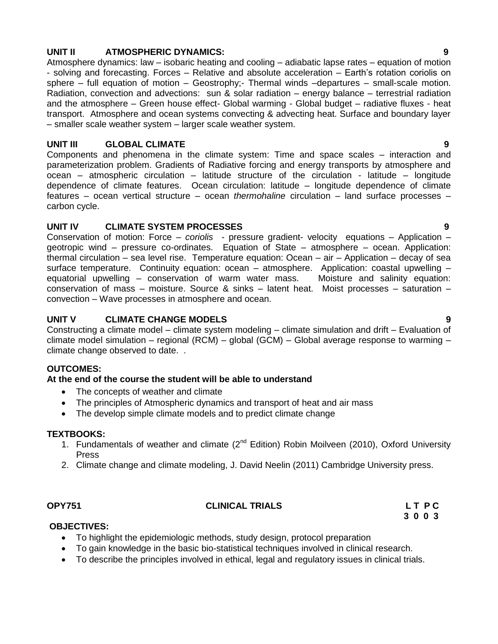## **UNIT II ATMOSPHERIC DYNAMICS: 9**

Atmosphere dynamics: law – isobaric heating and cooling – adiabatic lapse rates – equation of motion - solving and forecasting. Forces – Relative and absolute acceleration – Earth"s rotation coriolis on sphere – full equation of motion – Geostrophy:- Thermal winds –departures – small-scale motion. Radiation, convection and advections: sun & solar radiation – energy balance – terrestrial radiation and the atmosphere – Green house effect- Global warming - Global budget – radiative fluxes - heat transport. Atmosphere and ocean systems convecting & advecting heat. Surface and boundary layer – smaller scale weather system – larger scale weather system.

## **UNIT III GLOBAL CLIMATE 9**

Components and phenomena in the climate system: Time and space scales – interaction and parameterization problem. Gradients of Radiative forcing and energy transports by atmosphere and ocean – atmospheric circulation – latitude structure of the circulation - latitude – longitude dependence of climate features. Ocean circulation: latitude – longitude dependence of climate features – ocean vertical structure – ocean *thermohaline* circulation – land surface processes – carbon cycle.

## **UNIT IV CLIMATE SYSTEM PROCESSES 9**

Conservation of motion: Force *– coriolis* - pressure gradient- velocity equations – Application – geotropic wind – pressure co-ordinates. Equation of State – atmosphere – ocean. Application: thermal circulation – sea level rise. Temperature equation: Ocean – air – Application – decay of sea surface temperature. Continuity equation: ocean – atmosphere. Application: coastal upwelling – equatorial upwelling – conservation of warm water mass. Moisture and salinity equation: conservation of mass – moisture. Source & sinks – latent heat. Moist processes – saturation – convection – Wave processes in atmosphere and ocean.

## **UNIT V CLIMATE CHANGE MODELS 9**

Constructing a climate model – climate system modeling – climate simulation and drift – Evaluation of climate model simulation – regional (RCM) – global (GCM) – Global average response to warming – climate change observed to date. .

## **OUTCOMES:**

## **At the end of the course the student will be able to understand**

- The concepts of weather and climate
- The principles of Atmospheric dynamics and transport of heat and air mass
- The develop simple climate models and to predict climate change

## **TEXTBOOKS:**

- 1. Fundamentals of weather and climate (2<sup>nd</sup> Edition) Robin Moilveen (2010), Oxford University Press
- 2. Climate change and climate modeling, J. David Neelin (2011) Cambridge University press.

## **OPY751 CLINICAL TRIALS L T P C**

 **3 0 0 3**

## **OBJECTIVES:**

- To highlight the epidemiologic methods, study design, protocol preparation
- To gain knowledge in the basic bio-statistical techniques involved in clinical research.
- To describe the principles involved in ethical, legal and regulatory issues in clinical trials.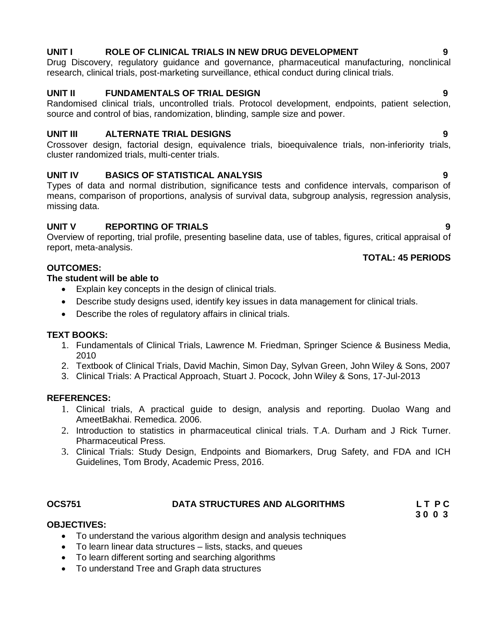## **UNIT I ROLE OF CLINICAL TRIALS IN NEW DRUG DEVELOPMENT 9**

Drug Discovery, regulatory guidance and governance, pharmaceutical manufacturing, nonclinical research, clinical trials, post-marketing surveillance, ethical conduct during clinical trials.

## **UNIT II FUNDAMENTALS OF TRIAL DESIGN 9**

Randomised clinical trials, uncontrolled trials. Protocol development, endpoints, patient selection, source and control of bias, randomization, blinding, sample size and power.

## **UNIT III ALTERNATE TRIAL DESIGNS 9**

Crossover design, factorial design, equivalence trials, bioequivalence trials, non-inferiority trials, cluster randomized trials, multi-center trials.

## **UNIT IV BASICS OF STATISTICAL ANALYSIS 9**

Types of data and normal distribution, significance tests and confidence intervals, comparison of means, comparison of proportions, analysis of survival data, subgroup analysis, regression analysis, missing data.

## **UNIT V REPORTING OF TRIALS 9**

Overview of reporting, trial profile, presenting baseline data, use of tables, figures, critical appraisal of report, meta-analysis.

## **TOTAL: 45 PERIODS**

## **OUTCOMES:**

## **The student will be able to**

- Explain key concepts in the design of clinical trials.
- Describe study designs used, identify key issues in data management for clinical trials.
- Describe the roles of regulatory affairs in clinical trials.

## **TEXT BOOKS:**

- 1. Fundamentals of Clinical Trials, Lawrence M. Friedman, Springer Science & Business Media, 2010
- 2. Textbook of Clinical Trials, David Machin, Simon Day, Sylvan Green, John Wiley & Sons, 2007
- 3. Clinical Trials: A Practical Approach, Stuart J. Pocock, John Wiley & Sons, 17-Jul-2013

## **REFERENCES:**

- 1. Clinical trials, A practical guide to design, analysis and reporting. Duolao Wang and AmeetBakhai. Remedica. 2006.
- 2. Introduction to statistics in pharmaceutical clinical trials. T.A. Durham and J Rick Turner. Pharmaceutical Press.
- 3. Clinical Trials: Study Design, Endpoints and Biomarkers, Drug Safety, and FDA and ICH Guidelines, Tom Brody, Academic Press, 2016.

## **OCS751 DATA STRUCTURES AND ALGORITHMS L T P C**

 **3 0 0 3**

## **OBJECTIVES:**

- To understand the various algorithm design and analysis techniques
- To learn linear data structures lists, stacks, and queues
- To learn different sorting and searching algorithms
- To understand Tree and Graph data structures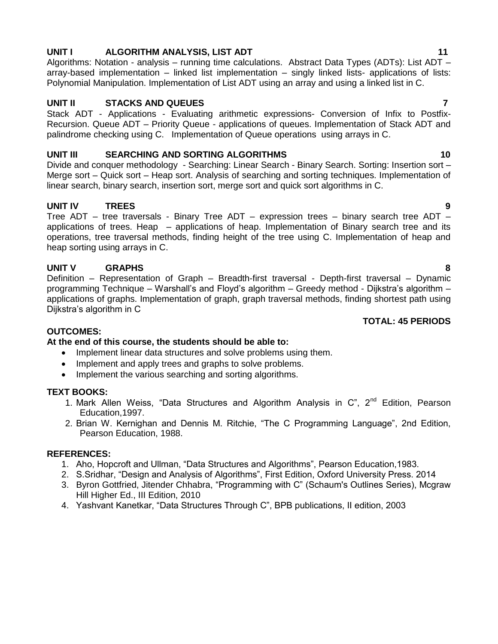## **UNIT I** ALGORITHM ANALYSIS, LIST ADT **11 11**

Algorithms: Notation - analysis – running time calculations. Abstract Data Types (ADTs): List ADT – array-based implementation – linked list implementation – singly linked lists- applications of lists: Polynomial Manipulation. Implementation of List ADT using an array and using a linked list in C.

## **UNIT II STACKS AND QUEUES 7**

Stack ADT - Applications - Evaluating arithmetic expressions- Conversion of Infix to Postfix-Recursion. Queue ADT – Priority Queue - applications of queues. Implementation of Stack ADT and palindrome checking using C. Implementation of Queue operations using arrays in C.

## **UNIT III SEARCHING AND SORTING ALGORITHMS 10**

Divide and conquer methodology - Searching: Linear Search - Binary Search. Sorting: Insertion sort – Merge sort – Quick sort – Heap sort. Analysis of searching and sorting techniques. Implementation of linear search, binary search, insertion sort, merge sort and quick sort algorithms in C.

## **UNIT IV TREES 9**

Tree ADT – tree traversals - Binary Tree ADT – expression trees – binary search tree ADT – applications of trees. Heap – applications of heap. Implementation of Binary search tree and its operations, tree traversal methods, finding height of the tree using C. Implementation of heap and heap sorting using arrays in C.

## **UNIT V GRAPHS 8**

Definition – Representation of Graph – Breadth-first traversal - Depth-first traversal – Dynamic programming Technique – Warshall's and Floyd's algorithm – Greedy method - Dijkstra's algorithm – applications of graphs. Implementation of graph, graph traversal methods, finding shortest path using Dijkstra"s algorithm in C

## **TOTAL: 45 PERIODS**

## **OUTCOMES:**

## **At the end of this course, the students should be able to:**

- Implement linear data structures and solve problems using them.
- Implement and apply trees and graphs to solve problems.
- Implement the various searching and sorting algorithms.

## **TEXT BOOKS:**

- 1. Mark Allen Weiss, "Data Structures and Algorithm Analysis in  $C$ ",  $2^{nd}$  Edition, Pearson Education,1997.
- 2. Brian W. Kernighan and Dennis M. Ritchie, "The C Programming Language", 2nd Edition, Pearson Education, 1988.

- 1. Aho, Hopcroft and Ullman, "Data Structures and Algorithms", Pearson Education,1983.
- 2. S.Sridhar, "Design and Analysis of Algorithms", First Edition, Oxford University Press. 2014
- 3. Byron Gottfried, Jitender Chhabra, "Programming with C" (Schaum's Outlines Series), Mcgraw Hill Higher Ed., III Edition, 2010
- 4. Yashvant Kanetkar, "Data Structures Through C", BPB publications, II edition, 2003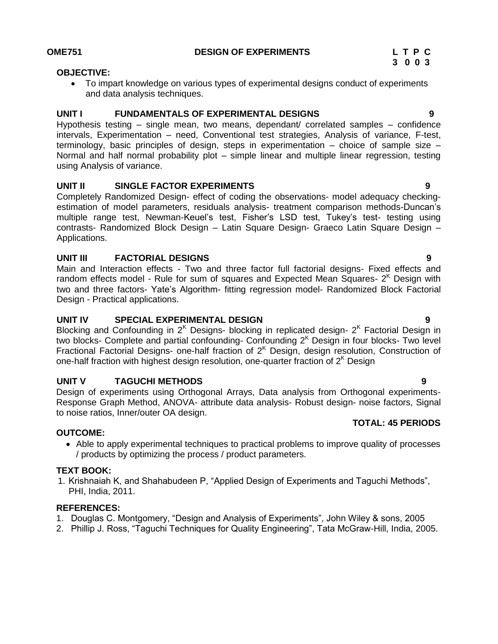### **OBJECTIVE:**

 To impart knowledge on various types of experimental designs conduct of experiments and data analysis techniques.

## **UNIT I FUNDAMENTALS OF EXPERIMENTAL DESIGNS 9**

Hypothesis testing – single mean, two means, dependant/ correlated samples – confidence intervals, Experimentation – need, Conventional test strategies, Analysis of variance, F-test, terminology, basic principles of design, steps in experimentation – choice of sample size – Normal and half normal probability plot – simple linear and multiple linear regression, testing using Analysis of variance.

## **UNIT II SINGLE FACTOR EXPERIMENTS 9**

Completely Randomized Design- effect of coding the observations- model adequacy checkingestimation of model parameters, residuals analysis- treatment comparison methods-Duncan"s multiple range test, Newman-Keuel"s test, Fisher"s LSD test, Tukey"s test- testing using contrasts- Randomized Block Design – Latin Square Design- Graeco Latin Square Design – Applications.

## **UNIT III FACTORIAL DESIGNS 9**

Main and Interaction effects - Two and three factor full factorial designs- Fixed effects and random effects model - Rule for sum of squares and Expected Mean Squares-  $2<sup>K</sup>$  Design with two and three factors- Yate"s Algorithm- fitting regression model- Randomized Block Factorial Design - Practical applications.

## **UNIT IV SPECIAL EXPERIMENTAL DESIGN 9**

Blocking and Confounding in  $2<sup>K</sup>$  Designs- blocking in replicated design-  $2<sup>K</sup>$  Factorial Design in two blocks- Complete and partial confounding- Confounding  $2<sup>K</sup>$  Design in four blocks- Two level Fractional Factorial Designs- one-half fraction of  $2<sup>K</sup>$  Design, design resolution, Construction of one-half fraction with highest design resolution, one-quarter fraction of  $2<sup>K</sup>$  Design

## **UNIT V TAGUCHI METHODS 9**

Design of experiments using Orthogonal Arrays, Data analysis from Orthogonal experiments-Response Graph Method, ANOVA- attribute data analysis- Robust design- noise factors, Signal to noise ratios, Inner/outer OA design.

## **TOTAL: 45 PERIODS**

## **OUTCOME:**

 Able to apply experimental techniques to practical problems to improve quality of processes / products by optimizing the process / product parameters.

## **TEXT BOOK:**

1. Krishnaiah K, and Shahabudeen P, "Applied Design of Experiments and Taguchi Methods", PHI, India, 2011.

- 1. Douglas C. Montgomery, "Design and Analysis of Experiments", John Wiley & sons, 2005
- 2. Phillip J. Ross, "Taguchi Techniques for Quality Engineering", Tata McGraw-Hill, India, 2005.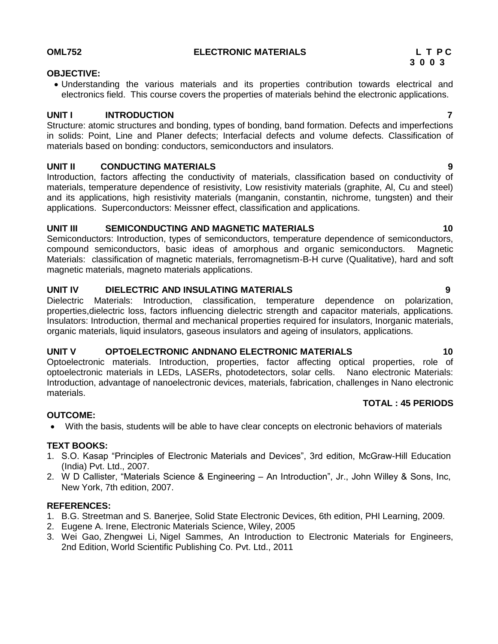## **OML752 ELECTRONIC MATERIALS L T P C**

## **3 0 0 3**

## **OBJECTIVE:**

 Understanding the various materials and its properties contribution towards electrical and electronics field. This course covers the properties of materials behind the electronic applications.

## **UNIT I INTRODUCTION 7**

Structure: atomic structures and bonding, types of bonding, band formation. Defects and imperfections in solids: Point, Line and Planer defects; Interfacial defects and volume defects. Classification of materials based on bonding: conductors, semiconductors and insulators.

## **UNIT II CONDUCTING MATERIALS 9**

Introduction, factors affecting the conductivity of materials, classification based on conductivity of materials, temperature dependence of resistivity, Low resistivity materials (graphite, Al, Cu and steel) and its applications, high resistivity materials (manganin, constantin, nichrome, tungsten) and their applications. Superconductors: Meissner effect, classification and applications.

## **UNIT III SEMICONDUCTING AND MAGNETIC MATERIALS 10**

Semiconductors: Introduction, types of semiconductors, temperature dependence of semiconductors, compound semiconductors, basic ideas of amorphous and organic semiconductors. Magnetic Materials: classification of magnetic materials, ferromagnetism-B-H curve (Qualitative), hard and soft magnetic materials, magneto materials applications.

## **UNIT IV DIELECTRIC AND INSULATING MATERIALS 9**

Dielectric Materials: Introduction, classification, temperature dependence on polarization, properties,dielectric loss, factors influencing dielectric strength and capacitor materials, applications. Insulators: Introduction, thermal and mechanical properties required for insulators, Inorganic materials, organic materials, liquid insulators, gaseous insulators and ageing of insulators, applications.

## **UNIT V OPTOELECTRONIC ANDNANO ELECTRONIC MATERIALS 10**

Optoelectronic materials. Introduction, properties, factor affecting optical properties, role of optoelectronic materials in LEDs, LASERs, photodetectors, solar cells. Nano electronic Materials: Introduction, advantage of nanoelectronic devices, materials, fabrication, challenges in Nano electronic materials.

## **TOTAL : 45 PERIODS**

## **OUTCOME:**

With the basis, students will be able to have clear concepts on electronic behaviors of materials

## **TEXT BOOKS:**

- 1. S.O. Kasap "Principles of Electronic Materials and Devices", 3rd edition, McGraw-Hill Education (India) Pvt. Ltd., 2007.
- 2. W D Callister, "Materials Science & Engineering An Introduction", Jr., John Willey & Sons, Inc, New York, 7th edition, 2007.

- 1. B.G. Streetman and S. Banerjee, Solid State Electronic Devices, 6th edition, PHI Learning, 2009.
- 2. Eugene A. Irene, Electronic Materials Science, Wiley, 2005
- 3. Wei Gao, Zhengwei Li, Nigel Sammes, An Introduction to Electronic Materials for Engineers, 2nd Edition, World Scientific Publishing Co. Pvt. Ltd., 2011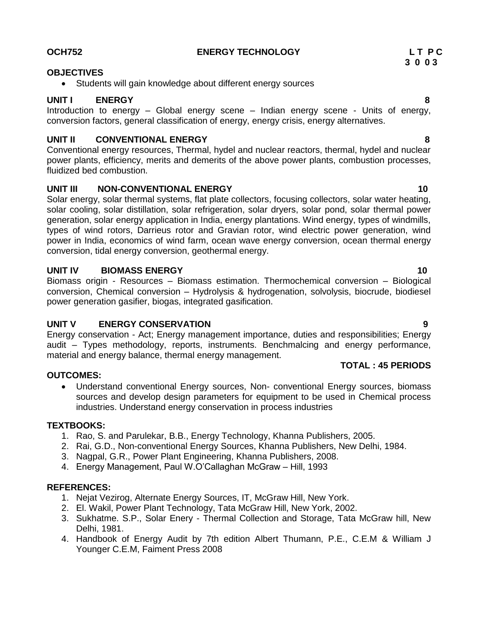## **OCH752** ENERGY TECHNOLOGY **LIPC**

### **OBJECTIVES**

• Students will gain knowledge about different energy sources

## **UNIT I ENERGY 8**

Introduction to energy – Global energy scene – Indian energy scene - Units of energy, conversion factors, general classification of energy, energy crisis, energy alternatives.

## **UNIT II CONVENTIONAL ENERGY 8**

Conventional energy resources, Thermal, hydel and nuclear reactors, thermal, hydel and nuclear power plants, efficiency, merits and demerits of the above power plants, combustion processes, fluidized bed combustion.

## **UNIT III NON-CONVENTIONAL ENERGY 10** 10

Solar energy, solar thermal systems, flat plate collectors, focusing collectors, solar water heating, solar cooling, solar distillation, solar refrigeration, solar dryers, solar pond, solar thermal power generation, solar energy application in India, energy plantations. Wind energy, types of windmills, types of wind rotors, Darrieus rotor and Gravian rotor, wind electric power generation, wind power in India, economics of wind farm, ocean wave energy conversion, ocean thermal energy conversion, tidal energy conversion, geothermal energy.

## **UNIT IV BIOMASS ENERGY 10**

Biomass origin - Resources – Biomass estimation. Thermochemical conversion – Biological conversion, Chemical conversion – Hydrolysis & hydrogenation, solvolysis, biocrude, biodiesel power generation gasifier, biogas, integrated gasification.

## **UNIT V ENERGY CONSERVATION 9**

Energy conservation - Act; Energy management importance, duties and responsibilities; Energy audit – Types methodology, reports, instruments. Benchmalcing and energy performance, material and energy balance, thermal energy management.

## **OUTCOMES:**

 Understand conventional Energy sources, Non- conventional Energy sources, biomass sources and develop design parameters for equipment to be used in Chemical process industries. Understand energy conservation in process industries

## **TEXTBOOKS:**

- 1. Rao, S. and Parulekar, B.B., Energy Technology, Khanna Publishers, 2005.
- 2. Rai, G.D., Non-conventional Energy Sources, Khanna Publishers, New Delhi, 1984.
- 3. Nagpal, G.R., Power Plant Engineering, Khanna Publishers, 2008.
- 4. Energy Management, Paul W.O"Callaghan McGraw Hill, 1993

## **REFERENCES:**

- 1. Nejat Vezirog, Alternate Energy Sources, IT, McGraw Hill, New York.
- 2. El. Wakil, Power Plant Technology, Tata McGraw Hill, New York, 2002.
- 3. Sukhatme. S.P., Solar Enery Thermal Collection and Storage, Tata McGraw hill, New Delhi, 1981.
- 4. Handbook of Energy Audit by 7th edition Albert Thumann, P.E., C.E.M & William J Younger C.E.M, Faiment Press 2008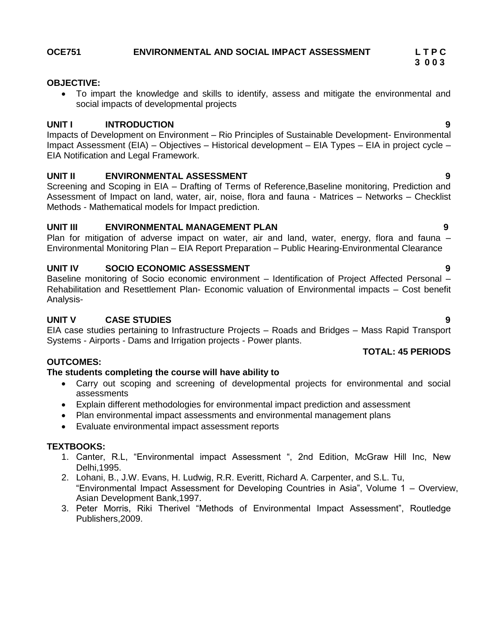# **OCE751 ENVIRONMENTAL AND SOCIAL IMPACT ASSESSMENT L T P C**

## **OBJECTIVE:**

 To impart the knowledge and skills to identify, assess and mitigate the environmental and social impacts of developmental projects

## **UNIT I INTRODUCTION 9**

Impacts of Development on Environment – Rio Principles of Sustainable Development- Environmental Impact Assessment (EIA) – Objectives – Historical development – EIA Types – EIA in project cycle – EIA Notification and Legal Framework.

## **UNIT II ENVIRONMENTAL ASSESSMENT 9**

Screening and Scoping in EIA – Drafting of Terms of Reference,Baseline monitoring, Prediction and Assessment of Impact on land, water, air, noise, flora and fauna - Matrices – Networks – Checklist Methods - Mathematical models for Impact prediction.

## **UNIT III ENVIRONMENTAL MANAGEMENT PLAN 9**

Plan for mitigation of adverse impact on water, air and land, water, energy, flora and fauna – Environmental Monitoring Plan – EIA Report Preparation – Public Hearing-Environmental Clearance

## **UNIT IV SOCIO ECONOMIC ASSESSMENT 9**

Baseline monitoring of Socio economic environment – Identification of Project Affected Personal – Rehabilitation and Resettlement Plan- Economic valuation of Environmental impacts – Cost benefit Analysis-

## **UNIT V CASE STUDIES 9**

EIA case studies pertaining to Infrastructure Projects – Roads and Bridges – Mass Rapid Transport Systems - Airports - Dams and Irrigation projects - Power plants.

## **OUTCOMES:**

## **The students completing the course will have ability to**

- Carry out scoping and screening of developmental projects for environmental and social assessments
- Explain different methodologies for environmental impact prediction and assessment
- Plan environmental impact assessments and environmental management plans
- Evaluate environmental impact assessment reports

## **TEXTBOOKS:**

- 1. Canter, R.L, "Environmental impact Assessment ", 2nd Edition, McGraw Hill Inc, New Delhi,1995.
- 2. Lohani, B., J.W. Evans, H. Ludwig, R.R. Everitt, Richard A. Carpenter, and S.L. Tu, "Environmental Impact Assessment for Developing Countries in Asia", Volume 1 – Overview, Asian Development Bank,1997.
- 3. Peter Morris, Riki Therivel "Methods of Environmental Impact Assessment", Routledge Publishers,2009.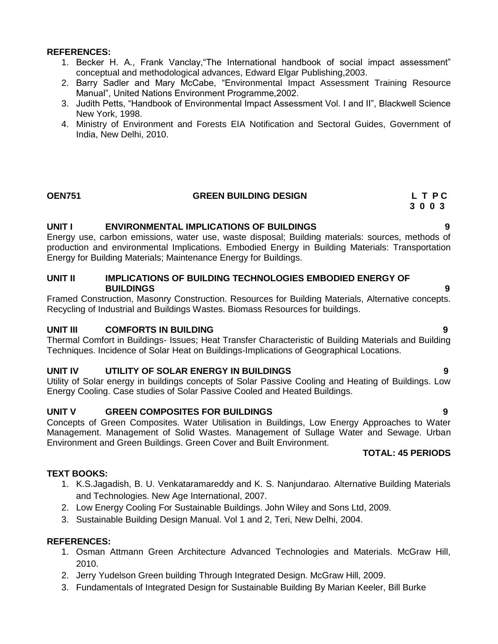## **REFERENCES:**

- 1. Becker H. A., Frank Vanclay,"The International handbook of social impact assessment" conceptual and methodological advances, Edward Elgar Publishing,2003.
- 2. Barry Sadler and Mary McCabe, "Environmental Impact Assessment Training Resource Manual", United Nations Environment Programme,2002.
- 3. Judith Petts, "Handbook of Environmental Impact Assessment Vol. I and II", Blackwell Science New York, 1998.
- 4. Ministry of Environment and Forests EIA Notification and Sectoral Guides, Government of India, New Delhi, 2010.

# **OEN751** GREEN BUILDING DESIGN L T P C 3 0 0 3

 **3 0 0 3**

## **UNIT I ENVIRONMENTAL IMPLICATIONS OF BUILDINGS 9**

Energy use, carbon emissions, water use, waste disposal; Building materials: sources, methods of production and environmental Implications. Embodied Energy in Building Materials: Transportation Energy for Building Materials; Maintenance Energy for Buildings.

## **UNIT II IMPLICATIONS OF BUILDING TECHNOLOGIES EMBODIED ENERGY OF BUILDINGS 9**

Framed Construction, Masonry Construction. Resources for Building Materials, Alternative concepts. Recycling of Industrial and Buildings Wastes. Biomass Resources for buildings.

## **UNIT III COMFORTS IN BUILDING 9**

Thermal Comfort in Buildings- Issues; Heat Transfer Characteristic of Building Materials and Building Techniques. Incidence of Solar Heat on Buildings-Implications of Geographical Locations.

## **UNIT IV UTILITY OF SOLAR ENERGY IN BUILDINGS 9**

Utility of Solar energy in buildings concepts of Solar Passive Cooling and Heating of Buildings. Low Energy Cooling. Case studies of Solar Passive Cooled and Heated Buildings.

## **UNIT V GREEN COMPOSITES FOR BUILDINGS 9**

Concepts of Green Composites. Water Utilisation in Buildings, Low Energy Approaches to Water Management. Management of Solid Wastes. Management of Sullage Water and Sewage. Urban Environment and Green Buildings. Green Cover and Built Environment.

## **TOTAL: 45 PERIODS**

## **TEXT BOOKS:**

- 1. K.S.Jagadish, B. U. Venkataramareddy and K. S. Nanjundarao. Alternative Building Materials and Technologies. New Age International, 2007.
- 2. Low Energy Cooling For Sustainable Buildings. John Wiley and Sons Ltd, 2009.
- 3. Sustainable Building Design Manual. Vol 1 and 2, Teri, New Delhi, 2004.

- 1. Osman Attmann Green Architecture Advanced Technologies and Materials. McGraw Hill, 2010.
- 2. Jerry Yudelson Green building Through Integrated Design. McGraw Hill, 2009.
- 3. Fundamentals of Integrated Design for Sustainable Building By Marian Keeler, Bill Burke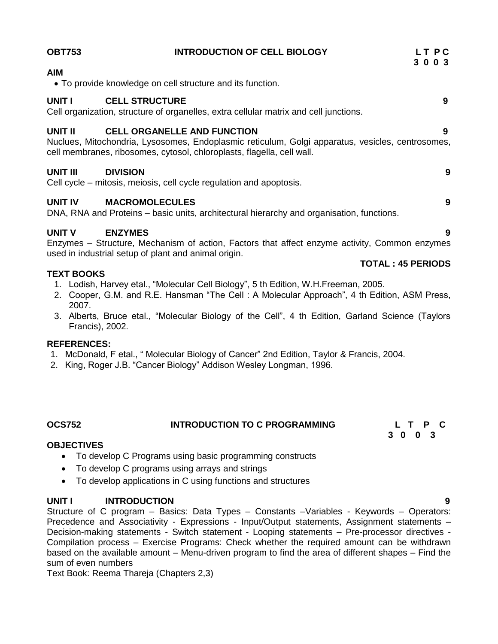| <b>OBT753</b>     | <b>INTRODUCTION OF CELL BIOLOGY</b>                                                                                                                                                                                                                                   | LT PC<br>3 0 0 3         |
|-------------------|-----------------------------------------------------------------------------------------------------------------------------------------------------------------------------------------------------------------------------------------------------------------------|--------------------------|
| <b>AIM</b>        | • To provide knowledge on cell structure and its function.                                                                                                                                                                                                            |                          |
| <b>UNIT I</b>     | <b>CELL STRUCTURE</b><br>Cell organization, structure of organelles, extra cellular matrix and cell junctions.                                                                                                                                                        | 9                        |
| UNIT II           | <b>CELL ORGANELLE AND FUNCTION</b><br>Nuclues, Mitochondria, Lysosomes, Endoplasmic reticulum, Golgi apparatus, vesicles, centrosomes,<br>cell membranes, ribosomes, cytosol, chloroplasts, flagella, cell wall.                                                      | 9                        |
| UNIT III          | <b>DIVISION</b><br>Cell cycle – mitosis, meiosis, cell cycle regulation and apoptosis.                                                                                                                                                                                | 9                        |
| <b>UNIT IV</b>    | <b>MACROMOLECULES</b><br>DNA, RNA and Proteins – basic units, architectural hierarchy and organisation, functions.                                                                                                                                                    | 9                        |
| <b>UNIT V</b>     | <b>ENZYMES</b><br>Enzymes – Structure, Mechanism of action, Factors that affect enzyme activity, Common enzymes<br>used in industrial setup of plant and animal origin.                                                                                               | 9                        |
| <b>TEXT BOOKS</b> | $\sim$ 1 $\sim$ 1000 $\sim$ 1000 $\sim$ 1000 $\sim$ 1000 $\sim$ 1000 $\sim$ 1000 $\sim$ 1000 $\sim$ 10000 $\sim$ 10000 $\sim$ 10000 $\sim$ 10000 $\sim$ 10000 $\sim$ 10000 $\sim$ 10000 $\sim$ 10000 $\sim$ 10000 $\sim$ 10000 $\sim$ 10000 $\sim$ 10000 $\sim$ 10000 | <b>TOTAL: 45 PERIODS</b> |

- 1. Lodish, Harvey etal., "Molecular Cell Biology", 5 th Edition, W.H.Freeman, 2005.
- 2. Cooper, G.M. and R.E. Hansman "The Cell : A Molecular Approach", 4 th Edition, ASM Press, 2007.
- 3. Alberts, Bruce etal., "Molecular Biology of the Cell", 4 th Edition, Garland Science (Taylors Francis), 2002.

## **REFERENCES:**

- 1. McDonald, F etal., " Molecular Biology of Cancer" 2nd Edition, Taylor & Francis, 2004.
- 2. King, Roger J.B. "Cancer Biology" Addison Wesley Longman, 1996.

## **OCS752 INTRODUCTION TO C PROGRAMMING L T P C**

 **3 0 0 3**

## **OBJECTIVES**

- To develop C Programs using basic programming constructs
- To develop C programs using arrays and strings
- To develop applications in C using functions and structures

## **UNIT I INTRODUCTION 9**

Structure of C program – Basics: Data Types – Constants –Variables - Keywords – Operators: Precedence and Associativity - Expressions - Input/Output statements, Assignment statements -Decision-making statements - Switch statement - Looping statements - Pre-processor directives -Compilation process – Exercise Programs: Check whether the required amount can be withdrawn based on the available amount – Menu-driven program to find the area of different shapes – Find the sum of even numbers

Text Book: Reema Thareja (Chapters 2,3)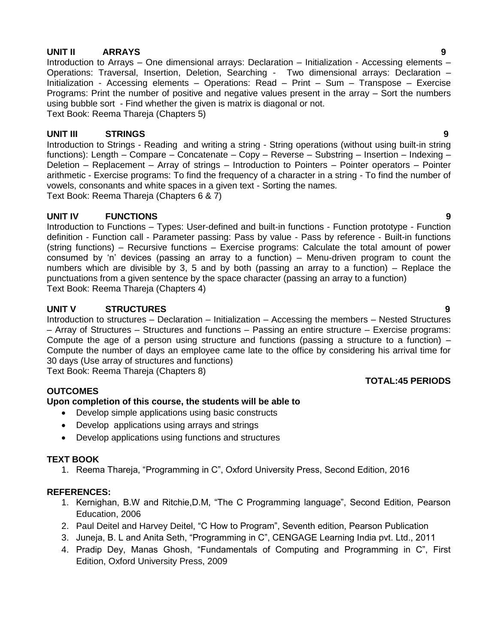## **UNIT II ARRAYS 9**

Introduction to Arrays – One dimensional arrays: Declaration – Initialization - Accessing elements – Operations: Traversal, Insertion, Deletion, Searching - Two dimensional arrays: Declaration – Initialization - Accessing elements – Operations: Read – Print – Sum – Transpose – Exercise Programs: Print the number of positive and negative values present in the array – Sort the numbers using bubble sort - Find whether the given is matrix is diagonal or not. Text Book: Reema Thareja (Chapters 5)

## **UNIT III STRINGS 9**

Introduction to Strings - Reading and writing a string - String operations (without using built-in string functions): Length – Compare – Concatenate – Copy – Reverse – Substring – Insertion – Indexing – Deletion – Replacement – Array of strings – Introduction to Pointers – Pointer operators – Pointer arithmetic - Exercise programs: To find the frequency of a character in a string - To find the number of vowels, consonants and white spaces in a given text - Sorting the names.

Text Book: Reema Thareja (Chapters 6 & 7)

## **UNIT IV FUNCTIONS 9**

Introduction to Functions – Types: User-defined and built-in functions - Function prototype - Function definition - Function call - Parameter passing: Pass by value - Pass by reference - Built-in functions (string functions) – Recursive functions – Exercise programs: Calculate the total amount of power consumed by "n" devices (passing an array to a function) – Menu-driven program to count the numbers which are divisible by 3, 5 and by both (passing an array to a function) – Replace the punctuations from a given sentence by the space character (passing an array to a function) Text Book: Reema Thareja (Chapters 4)

## **UNIT V STRUCTURES 9**

Introduction to structures – Declaration – Initialization – Accessing the members – Nested Structures – Array of Structures – Structures and functions – Passing an entire structure – Exercise programs: Compute the age of a person using structure and functions (passing a structure to a function) – Compute the number of days an employee came late to the office by considering his arrival time for 30 days (Use array of structures and functions) Text Book: Reema Thareja (Chapters 8)

## **TOTAL:45 PERIODS**

## **OUTCOMES**

## **Upon completion of this course, the students will be able to**

- Develop simple applications using basic constructs
- Develop applications using arrays and strings
- Develop applications using functions and structures

## **TEXT BOOK**

1. Reema Thareja, "Programming in C", Oxford University Press, Second Edition, 2016

- 1. Kernighan, B.W and Ritchie,D.M, "The C Programming language", Second Edition, Pearson Education, 2006
- 2. Paul Deitel and Harvey Deitel, "C How to Program", Seventh edition, Pearson Publication
- 3. Juneja, B. L and Anita Seth, "Programming in C", CENGAGE Learning India pvt. Ltd., 2011
- 4. Pradip Dey, Manas Ghosh, "Fundamentals of Computing and Programming in C", First Edition, Oxford University Press, 2009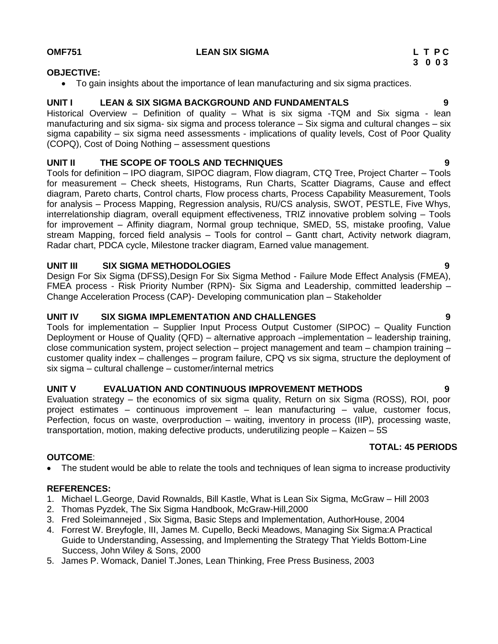## **OMF751 LEAN SIX SIGMA L T P C**

## **OBJECTIVE:**

To gain insights about the importance of lean manufacturing and six sigma practices.

## **UNIT I LEAN & SIX SIGMA BACKGROUND AND FUNDAMENTALS 9**

Historical Overview – Definition of quality – What is six sigma -TQM and Six sigma - lean manufacturing and six sigma- six sigma and process tolerance – Six sigma and cultural changes – six sigma capability – six sigma need assessments - implications of quality levels, Cost of Poor Quality (COPQ), Cost of Doing Nothing – assessment questions

## **UNIT II THE SCOPE OF TOOLS AND TECHNIQUES 9**

Tools for definition – IPO diagram, SIPOC diagram, Flow diagram, CTQ Tree, Project Charter – Tools for measurement – Check sheets, Histograms, Run Charts, Scatter Diagrams, Cause and effect diagram, Pareto charts, Control charts, Flow process charts, Process Capability Measurement, Tools for analysis – Process Mapping, Regression analysis, RU/CS analysis, SWOT, PESTLE, Five Whys, interrelationship diagram, overall equipment effectiveness, TRIZ innovative problem solving – Tools for improvement – Affinity diagram, Normal group technique, SMED, 5S, mistake proofing, Value stream Mapping, forced field analysis – Tools for control – Gantt chart, Activity network diagram, Radar chart, PDCA cycle, Milestone tracker diagram, Earned value management.

## **UNIT III SIX SIGMA METHODOLOGIES 9**

Design For Six Sigma (DFSS),Design For Six Sigma Method - Failure Mode Effect Analysis (FMEA), FMEA process - Risk Priority Number (RPN)- Six Sigma and Leadership, committed leadership – Change Acceleration Process (CAP)- Developing communication plan – Stakeholder

## **UNIT IV SIX SIGMA IMPLEMENTATION AND CHALLENGES 9**

Tools for implementation – Supplier Input Process Output Customer (SIPOC) – Quality Function Deployment or House of Quality (QFD) – alternative approach –implementation – leadership training, close communication system, project selection – project management and team – champion training – customer quality index – challenges – program failure, CPQ vs six sigma, structure the deployment of six sigma – cultural challenge – customer/internal metrics

## **UNIT V EVALUATION AND CONTINUOUS IMPROVEMENT METHODS 9**

Evaluation strategy – the economics of six sigma quality, Return on six Sigma (ROSS), ROI, poor project estimates – continuous improvement – lean manufacturing – value, customer focus, Perfection, focus on waste, overproduction – waiting, inventory in process (IIP), processing waste, transportation, motion, making defective products, underutilizing people – Kaizen – 5S

## **TOTAL: 45 PERIODS**

## **OUTCOME**:

The student would be able to relate the tools and techniques of lean sigma to increase productivity

- 1. Michael L.George, David Rownalds, Bill Kastle, What is Lean Six Sigma, McGraw Hill 2003
- 2. Thomas Pyzdek, The Six Sigma Handbook, McGraw-Hill,2000
- 3. Fred Soleimannejed , Six Sigma, Basic Steps and Implementation, AuthorHouse, 2004
- 4. Forrest W. Breyfogle, III, James M. Cupello, Becki Meadows, Managing Six Sigma:A Practical Guide to Understanding, Assessing, and Implementing the Strategy That Yields Bottom-Line Success, John Wiley & Sons, 2000
- 5. James P. Womack, Daniel T.Jones, Lean Thinking, Free Press Business, 2003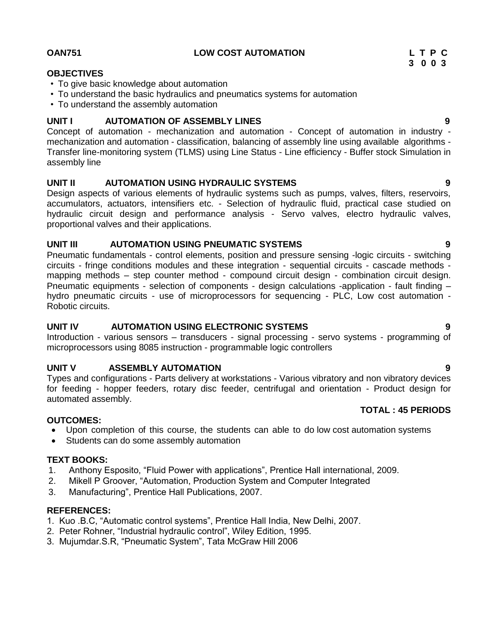## **OAN751 LOW COST AUTOMATION L T P C**

## **OBJECTIVES**

- To give basic knowledge about automation
- To understand the basic hydraulics and pneumatics systems for automation
- To understand the assembly automation

## **UNIT I AUTOMATION OF ASSEMBLY LINES 9**

Concept of automation - mechanization and automation - Concept of automation in industry mechanization and automation - classification, balancing of assembly line using available algorithms - Transfer line-monitoring system (TLMS) using Line Status - Line efficiency - Buffer stock Simulation in assembly line

## **UNIT II AUTOMATION USING HYDRAULIC SYSTEMS 9**

Design aspects of various elements of hydraulic systems such as pumps, valves, filters, reservoirs, accumulators, actuators, intensifiers etc. - Selection of hydraulic fluid, practical case studied on hydraulic circuit design and performance analysis - Servo valves, electro hydraulic valves, proportional valves and their applications.

## **UNIT III AUTOMATION USING PNEUMATIC SYSTEMS 9**

Pneumatic fundamentals - control elements, position and pressure sensing -logic circuits - switching circuits - fringe conditions modules and these integration - sequential circuits - cascade methods mapping methods – step counter method - compound circuit design - combination circuit design. Pneumatic equipments - selection of components - design calculations -application - fault finding – hydro pneumatic circuits - use of microprocessors for sequencing - PLC, Low cost automation - Robotic circuits.

## **UNIT IV AUTOMATION USING ELECTRONIC SYSTEMS 9**

Introduction - various sensors – transducers - signal processing - servo systems - programming of microprocessors using 8085 instruction - programmable logic controllers

## **UNIT V ASSEMBLY AUTOMATION 9**

Types and configurations - Parts delivery at workstations - Various vibratory and non vibratory devices for feeding - hopper feeders, rotary disc feeder, centrifugal and orientation - Product design for automated assembly.

## **OUTCOMES:**

- Upon completion of this course, the students can able to do low cost automation systems
- Students can do some assembly automation

## **TEXT BOOKS:**

- 1. Anthony Esposito, "Fluid Power with applications", Prentice Hall international, 2009.
- 2. Mikell P Groover, "Automation, Production System and Computer Integrated
- 3. Manufacturing", Prentice Hall Publications, 2007.

## **REFERENCES:**

- 1. Kuo .B.C, "Automatic control systems", Prentice Hall India, New Delhi, 2007.
- 2. Peter Rohner, "Industrial hydraulic control", Wiley Edition, 1995.
- 3. Mujumdar.S.R, "Pneumatic System", Tata McGraw Hill 2006

 **3 0 0 3**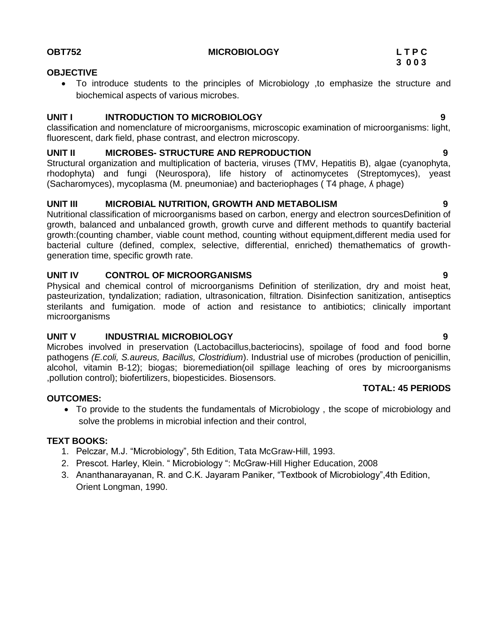**OBT752 MICROBIOLOGY L T P C**

## **3 0 0 3**

## **OBJECTIVE**

 To introduce students to the principles of Microbiology ,to emphasize the structure and biochemical aspects of various microbes.

## **UNIT I INTRODUCTION TO MICROBIOLOGY 9**

classification and nomenclature of microorganisms, microscopic examination of microorganisms: light, fluorescent, dark field, phase contrast, and electron microscopy.

## **UNIT II MICROBES- STRUCTURE AND REPRODUCTION 9**

Structural organization and multiplication of bacteria, viruses (TMV, Hepatitis B), algae (cyanophyta, rhodophyta) and fungi (Neurospora), life history of actinomycetes (Streptomyces), yeast (Sacharomyces), mycoplasma (M. pneumoniae) and bacteriophages ( T4 phage, ʎ phage)

## **UNIT III MICROBIAL NUTRITION, GROWTH AND METABOLISM 9**

Nutritional classification of microorganisms based on carbon, energy and electron sourcesDefinition of growth, balanced and unbalanced growth, growth curve and different methods to quantify bacterial growth:(counting chamber, viable count method, counting without equipment,different media used for bacterial culture (defined, complex, selective, differential, enriched) themathematics of growthgeneration time, specific growth rate.

## **UNIT IV CONTROL OF MICROORGANISMS 9**

Physical and chemical control of microorganisms Definition of sterilization, dry and moist heat, pasteurization, tyndalization; radiation, ultrasonication, filtration. Disinfection sanitization, antiseptics sterilants and fumigation. mode of action and resistance to antibiotics; clinically important microorganisms

## **UNIT V INDUSTRIAL MICROBIOLOGY 9**

Microbes involved in preservation (Lactobacillus,bacteriocins), spoilage of food and food borne pathogens *(E.coli, S.aureus, Bacillus, Clostridium*). Industrial use of microbes (production of penicillin, alcohol, vitamin B-12); biogas; bioremediation(oil spillage leaching of ores by microorganisms ,pollution control); biofertilizers, biopesticides. Biosensors.

## **OUTCOMES:**

# **TOTAL: 45 PERIODS**

 To provide to the students the fundamentals of Microbiology , the scope of microbiology and solve the problems in microbial infection and their control,

## **TEXT BOOKS:**

- 1. Pelczar, M.J. "Microbiology", 5th Edition, Tata McGraw-Hill, 1993.
- 2. Prescot. Harley, Klein. " Microbiology ": McGraw-Hill Higher Education, 2008
- 3. Ananthanarayanan, R. and C.K. Jayaram Paniker, "Textbook of Microbiology",4th Edition, Orient Longman, 1990.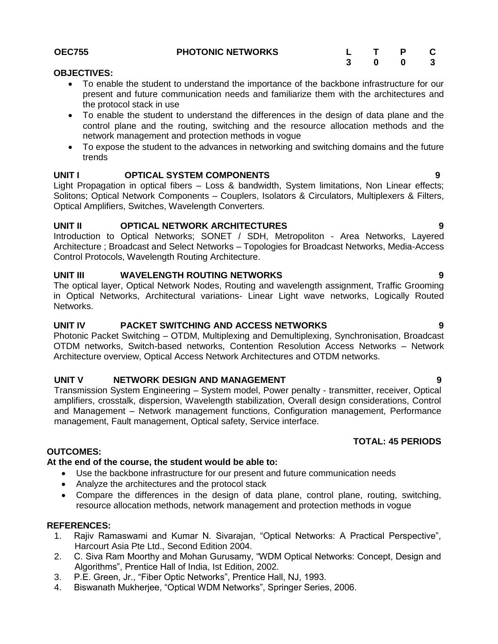|                                                                                             |  | . |  |
|---------------------------------------------------------------------------------------------|--|---|--|
| <b>OBJECTIVES:</b>                                                                          |  |   |  |
| • To enable the student to understand the importance of the backbone infrastructure for our |  |   |  |
| present and future communication needs and familiarize them with the architectures and      |  |   |  |

- the protocol stack in use To enable the student to understand the differences in the design of data plane and the control plane and the routing, switching and the resource allocation methods and the network management and protection methods in vogue
- To expose the student to the advances in networking and switching domains and the future trends

## **UNIT I OPTICAL SYSTEM COMPONENTS 9**

Light Propagation in optical fibers – Loss & bandwidth, System limitations, Non Linear effects; Solitons; Optical Network Components – Couplers, Isolators & Circulators, Multiplexers & Filters, Optical Amplifiers, Switches, Wavelength Converters.

## **UNIT II OPTICAL NETWORK ARCHITECTURES 9**

Introduction to Optical Networks; SONET / SDH, Metropoliton - Area Networks, Layered Architecture ; Broadcast and Select Networks – Topologies for Broadcast Networks, Media-Access Control Protocols, Wavelength Routing Architecture.

## **UNIT III WAVELENGTH ROUTING NETWORKS 9**

The optical layer, Optical Network Nodes, Routing and wavelength assignment, Traffic Grooming in Optical Networks, Architectural variations- Linear Light wave networks, Logically Routed Networks.

## **UNIT IV PACKET SWITCHING AND ACCESS NETWORKS 9**

Photonic Packet Switching – OTDM, Multiplexing and Demultiplexing, Synchronisation, Broadcast OTDM networks, Switch-based networks, Contention Resolution Access Networks – Network Architecture overview, Optical Access Network Architectures and OTDM networks.

## **UNIT V NETWORK DESIGN AND MANAGEMENT 9 9**

Transmission System Engineering – System model, Power penalty - transmitter, receiver, Optical amplifiers, crosstalk, dispersion, Wavelength stabilization, Overall design considerations, Control and Management – Network management functions, Configuration management, Performance management, Fault management, Optical safety, Service interface.

## **OUTCOMES:**

## **At the end of the course, the student would be able to:**

- Use the backbone infrastructure for our present and future communication needs
- Analyze the architectures and the protocol stack
- Compare the differences in the design of data plane, control plane, routing, switching, resource allocation methods, network management and protection methods in vogue

## **REFERENCES:**

- 1. Rajiv Ramaswami and Kumar N. Sivarajan, "Optical Networks: A Practical Perspective", Harcourt Asia Pte Ltd., Second Edition 2004.
- 2. C. Siva Ram Moorthy and Mohan Gurusamy, "WDM Optical Networks: Concept, Design and Algorithms", Prentice Hall of India, Ist Edition, 2002.
- 3. P.E. Green, Jr., "Fiber Optic Networks", Prentice Hall, NJ, 1993.
- 4. Biswanath Mukherjee, "Optical WDM Networks", Springer Series, 2006.
- 
-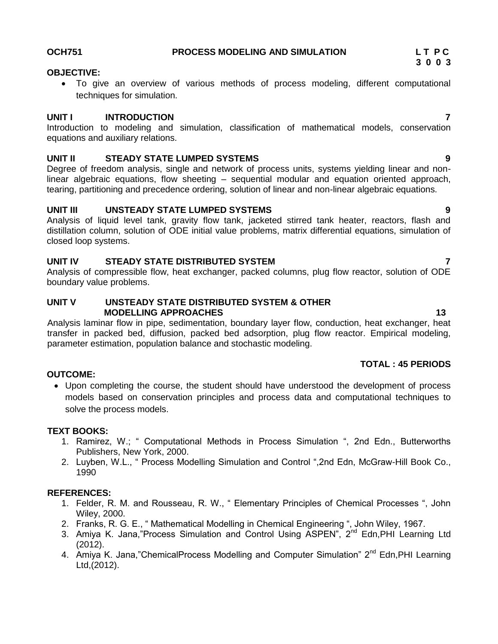## OCH751 PROCESS MODELING AND SIMULATION LTPC

## **OBJECTIVE:**

 To give an overview of various methods of process modeling, different computational techniques for simulation.

## **UNIT I INTRODUCTION 7**

Introduction to modeling and simulation, classification of mathematical models, conservation equations and auxiliary relations.

## **UNIT II STEADY STATE LUMPED SYSTEMS 9**

Degree of freedom analysis, single and network of process units, systems yielding linear and nonlinear algebraic equations, flow sheeting – sequential modular and equation oriented approach, tearing, partitioning and precedence ordering, solution of linear and non-linear algebraic equations.

## **UNIT III UNSTEADY STATE LUMPED SYSTEMS 9**

Analysis of liquid level tank, gravity flow tank, jacketed stirred tank heater, reactors, flash and distillation column, solution of ODE initial value problems, matrix differential equations, simulation of closed loop systems.

## **UNIT IV STEADY STATE DISTRIBUTED SYSTEM 7**

Analysis of compressible flow, heat exchanger, packed columns, plug flow reactor, solution of ODE boundary value problems.

## **UNIT V UNSTEADY STATE DISTRIBUTED SYSTEM & OTHER MODELLING APPROACHES 13**

Analysis laminar flow in pipe, sedimentation, boundary layer flow, conduction, heat exchanger, heat transfer in packed bed, diffusion, packed bed adsorption, plug flow reactor. Empirical modeling, parameter estimation, population balance and stochastic modeling.

## **TOTAL : 45 PERIODS**

## **OUTCOME:**

 Upon completing the course, the student should have understood the development of process models based on conservation principles and process data and computational techniques to solve the process models.

## **TEXT BOOKS:**

- 1. Ramirez, W.; " Computational Methods in Process Simulation ", 2nd Edn., Butterworths Publishers, New York, 2000.
- 2. Luyben, W.L., " Process Modelling Simulation and Control ",2nd Edn, McGraw-Hill Book Co., 1990

- 1. Felder, R. M. and Rousseau, R. W., " Elementary Principles of Chemical Processes ", John Wiley, 2000.
- 2. Franks, R. G. E., " Mathematical Modelling in Chemical Engineering ", John Wiley, 1967.
- 3. Amiya K. Jana,"Process Simulation and Control Using ASPEN", 2<sup>nd</sup> Edn, PHI Learning Ltd (2012).
- 4. Amiya K. Jana,"ChemicalProcess Modelling and Computer Simulation" 2<sup>nd</sup> Edn, PHI Learning Ltd,(2012).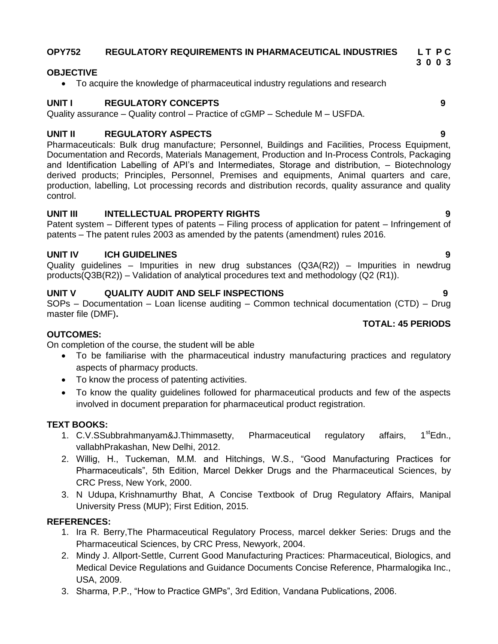### **OPY752 REGULATORY REQUIREMENTS IN PHARMACEUTICAL INDUSTRIES L T P C 3 0 0 3**

## **OBJECTIVE**

To acquire the knowledge of pharmaceutical industry regulations and research

## **UNIT I REGULATORY CONCEPTS 9**

## Quality assurance – Quality control – Practice of cGMP – Schedule M – USFDA.

## **UNIT II REGULATORY ASPECTS 9**

Pharmaceuticals: Bulk drug manufacture; Personnel, Buildings and Facilities, Process Equipment, Documentation and Records, Materials Management, Production and In-Process Controls, Packaging and Identification Labelling of API's and Intermediates, Storage and distribution, - Biotechnology derived products; Principles, Personnel, Premises and equipments, Animal quarters and care, production, labelling, Lot processing records and distribution records, quality assurance and quality control.

## **UNIT III INTELLECTUAL PROPERTY RIGHTS 9**

Patent system – Different types of patents – Filing process of application for patent – Infringement of patents – The patent rules 2003 as amended by the patents (amendment) rules 2016.

## **UNIT IV ICH GUIDELINES 9**

Quality guidelines – Impurities in new drug substances (Q3A(R2)) – Impurities in newdrug products(Q3B(R2)) – Validation of analytical procedures text and methodology (Q2 (R1)).

## **UNIT V QUALITY AUDIT AND SELF INSPECTIONS 9**

SOPs – Documentation – Loan license auditing – Common technical documentation (CTD) – Drug master file (DMF)**.**

## **TOTAL: 45 PERIODS**

## **OUTCOMES:**

On completion of the course, the student will be able

- To be familiarise with the pharmaceutical industry manufacturing practices and regulatory aspects of pharmacy products.
- To know the process of patenting activities.
- To know the quality guidelines followed for pharmaceutical products and few of the aspects involved in document preparation for pharmaceutical product registration.

## **TEXT BOOKS:**

- 1.  $C.V.SSubbranchmanyam&J.Thimmasetty, Pharmaceutical regulatory afterqulatority.  $1^{st}Edn$$ vallabhPrakashan, New Delhi, 2012.
- 2. Willig, H., Tuckeman, M.M. and Hitchings, W.S., "Good Manufacturing Practices for Pharmaceuticals", 5th Edition, Marcel Dekker Drugs and the Pharmaceutical Sciences, by CRC Press, New York, 2000.
- 3. N Udupa, Krishnamurthy Bhat, A Concise Textbook of Drug Regulatory Affairs, Manipal University Press (MUP); First Edition, 2015.

- 1. Ira R. Berry,The Pharmaceutical Regulatory Process, marcel dekker Series: Drugs and the Pharmaceutical Sciences, by CRC Press, Newyork, 2004.
- 2. Mindy J. Allport-Settle, Current Good Manufacturing Practices: Pharmaceutical, Biologics, and Medical Device Regulations and Guidance Documents Concise Reference, Pharmalogika Inc., USA, 2009.
- 3. Sharma, P.P., "How to Practice GMPs", 3rd Edition, Vandana Publications, 2006.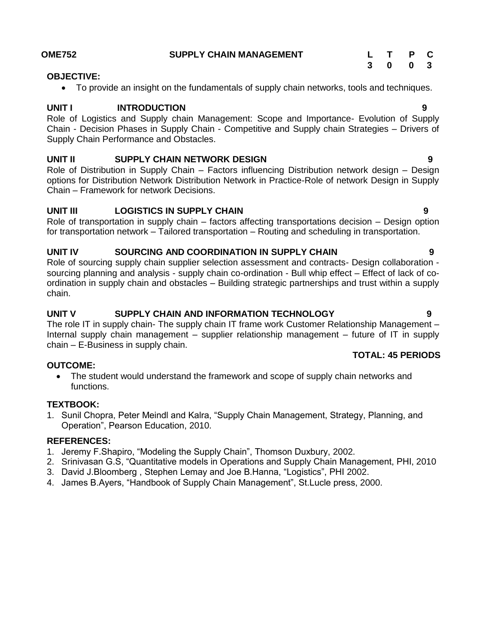| <b>OME752</b> | <b>SUPPLY CHAIN MANAGEMENT</b> | T P C   |  |
|---------------|--------------------------------|---------|--|
|               |                                | 3 0 0 3 |  |

### **OBJECTIVE:**

To provide an insight on the fundamentals of supply chain networks, tools and techniques.

## **UNIT INTRODUCTION** 9

Role of Logistics and Supply chain Management: Scope and Importance- Evolution of Supply Chain - Decision Phases in Supply Chain - Competitive and Supply chain Strategies – Drivers of Supply Chain Performance and Obstacles.

## **UNIT II SUPPLY CHAIN NETWORK DESIGN 9**

Role of Distribution in Supply Chain – Factors influencing Distribution network design – Design options for Distribution Network Distribution Network in Practice-Role of network Design in Supply Chain – Framework for network Decisions.

## **UNIT III LOGISTICS IN SUPPLY CHAIN 9**

Role of transportation in supply chain – factors affecting transportations decision – Design option for transportation network – Tailored transportation – Routing and scheduling in transportation.

## **UNIT IV SOURCING AND COORDINATION IN SUPPLY CHAIN 9**

Role of sourcing supply chain supplier selection assessment and contracts- Design collaboration sourcing planning and analysis - supply chain co-ordination - Bull whip effect – Effect of lack of coordination in supply chain and obstacles – Building strategic partnerships and trust within a supply chain.

## **UNIT V SUPPLY CHAIN AND INFORMATION TECHNOLOGY 9**

The role IT in supply chain- The supply chain IT frame work Customer Relationship Management – Internal supply chain management – supplier relationship management – future of IT in supply chain – E-Business in supply chain.

## **OUTCOME:**

 The student would understand the framework and scope of supply chain networks and functions.

## **TEXTBOOK:**

1. Sunil Chopra, Peter Meindl and Kalra, "Supply Chain Management, Strategy, Planning, and Operation", Pearson Education, 2010.

## **REFERENCES:**

- 1. Jeremy F.Shapiro, "Modeling the Supply Chain", Thomson Duxbury, 2002.
- 2. Srinivasan G.S, "Quantitative models in Operations and Supply Chain Management, PHI, 2010
- 3. David J.Bloomberg , Stephen Lemay and Joe B.Hanna, "Logistics", PHI 2002.
- 4. James B.Ayers, "Handbook of Supply Chain Management", St.Lucle press, 2000.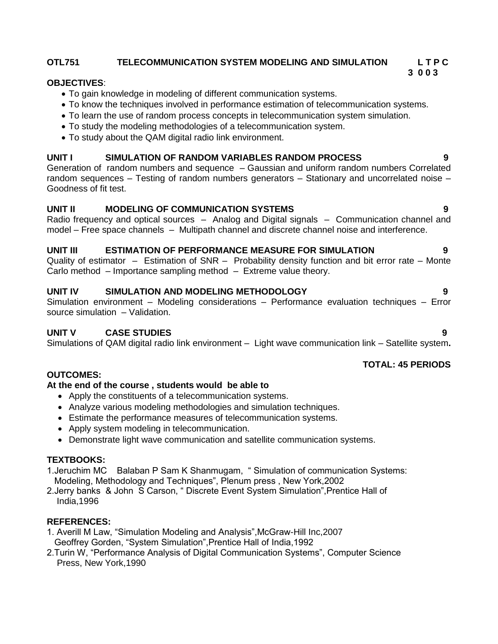## **OTL751 TELECOMMUNICATION SYSTEM MODELING AND SIMULATION L T P C**

### **3 0 0 3 OBJECTIVES**:

- To gain knowledge in modeling of different communication systems.
- To know the techniques involved in performance estimation of telecommunication systems.
- To learn the use of random process concepts in telecommunication system simulation.
- To study the modeling methodologies of a telecommunication system.
- To study about the QAM digital radio link environment.

## **UNIT I SIMULATION OF RANDOM VARIABLES RANDOM PROCESS 9**

Generation of random numbers and sequence – Gaussian and uniform random numbers Correlated random sequences – Testing of random numbers generators – Stationary and uncorrelated noise – Goodness of fit test.

## **UNIT II MODELING OF COMMUNICATION SYSTEMS 9**

Radio frequency and optical sources – Analog and Digital signals – Communication channel and model – Free space channels – Multipath channel and discrete channel noise and interference.

## **UNIT III ESTIMATION OF PERFORMANCE MEASURE FOR SIMULATION 9**

Quality of estimator – Estimation of SNR – Probability density function and bit error rate – Monte Carlo method – Importance sampling method – Extreme value theory.

## **UNIT IV SIMULATION AND MODELING METHODOLOGY 9**

Simulation environment – Modeling considerations – Performance evaluation techniques – Error source simulation – Validation.

## **UNIT V CASE STUDIES 9**

Simulations of QAM digital radio link environment – Light wave communication link – Satellite system**.**

## **OUTCOMES:**

## **At the end of the course , students would be able to**

- Apply the constituents of a telecommunication systems.
- Analyze various modeling methodologies and simulation techniques.
- Estimate the performance measures of telecommunication systems.
- Apply system modeling in telecommunication.
- Demonstrate light wave communication and satellite communication systems.

## **TEXTBOOKS:**

1.Jeruchim MC Balaban P Sam K Shanmugam, " Simulation of communication Systems: Modeling, Methodology and Techniques", Plenum press , New York,2002

2.Jerry banks & John S Carson, " Discrete Event System Simulation",Prentice Hall of India,1996

## **REFERENCES:**

- 1. Averill M Law, "Simulation Modeling and Analysis",McGraw-Hill Inc,2007 Geoffrey Gorden, "System Simulation",Prentice Hall of India,1992
- 2.Turin W, "Performance Analysis of Digital Communication Systems", Computer Science Press, New York,1990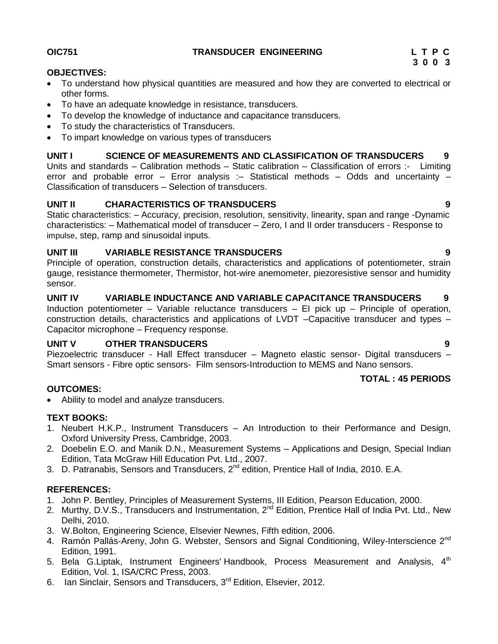## **OIC751 TRANSDUCER ENGINEERING L T P C**

**3 0 0 3**

## **OBJECTIVES:**

- To understand how physical quantities are measured and how they are converted to electrical or other forms.
- To have an adequate knowledge in resistance, transducers.
- To develop the knowledge of inductance and capacitance transducers.
- To study the characteristics of Transducers.
- To impart knowledge on various types of transducers

## **UNIT I SCIENCE OF MEASUREMENTS AND CLASSIFICATION OF TRANSDUCERS 9**

Units and standards – Calibration methods – Static calibration – Classification of errors :- Limiting error and probable error – Error analysis :– Statistical methods – Odds and uncertainty – Classification of transducers – Selection of transducers.

## **UNIT II CHARACTERISTICS OF TRANSDUCERS 9**

Static characteristics: – Accuracy, precision, resolution, sensitivity, linearity, span and range -Dynamic characteristics: – Mathematical model of transducer – Zero, I and II order transducers - Response to impulse, step, ramp and sinusoidal inputs.

## **UNIT III VARIABLE RESISTANCE TRANSDUCERS 9**

Principle of operation, construction details, characteristics and applications of potentiometer, strain gauge, resistance thermometer, Thermistor, hot-wire anemometer, piezoresistive sensor and humidity sensor.

## **UNIT IV VARIABLE INDUCTANCE AND VARIABLE CAPACITANCE TRANSDUCERS 9**

Induction potentiometer – Variable reluctance transducers – EI pick up – Principle of operation, construction details, characteristics and applications of LVDT –Capacitive transducer and types – Capacitor microphone – Frequency response.

## **UNIT V OTHER TRANSDUCERS 9**

Piezoelectric transducer - Hall Effect transducer – Magneto elastic sensor- Digital transducers – Smart sensors - Fibre optic sensors- Film sensors-Introduction to MEMS and Nano sensors.

## **TOTAL : 45 PERIODS**

## **OUTCOMES:**

Ability to model and analyze transducers.

## **TEXT BOOKS:**

- 1. Neubert H.K.P., Instrument Transducers An Introduction to their Performance and Design, Oxford University Press, Cambridge, 2003.
- 2. Doebelin E.O. and Manik D.N., Measurement Systems Applications and Design, Special Indian Edition, Tata McGraw Hill Education Pvt. Ltd., 2007.
- 3. D. Patranabis, Sensors and Transducers, 2<sup>nd</sup> edition, Prentice Hall of India, 2010. E.A.

- 1. John P. Bentley, Principles of Measurement Systems, III Edition, Pearson Education, 2000.
- 2. Murthy, D.V.S., Transducers and Instrumentation, 2<sup>nd</sup> Edition, Prentice Hall of India Pvt. Ltd., New Delhi, 2010.
- 3. W.Bolton, Engineering Science, Elsevier Newnes, Fifth edition, 2006.
- 4. Ramón Pallás-Areny, John G. Webster, Sensors and Signal Conditioning, Wiley-Interscience 2<sup>nd</sup> Edition, 1991.
- 5. Bela G. Liptak, Instrument Engineers' Handbook, Process Measurement and Analysis, 4<sup>th</sup> Edition, Vol. 1, ISA/CRC Press, 2003.
- 6. Ian Sinclair, Sensors and Transducers, 3<sup>rd</sup> Edition, Elsevier, 2012.